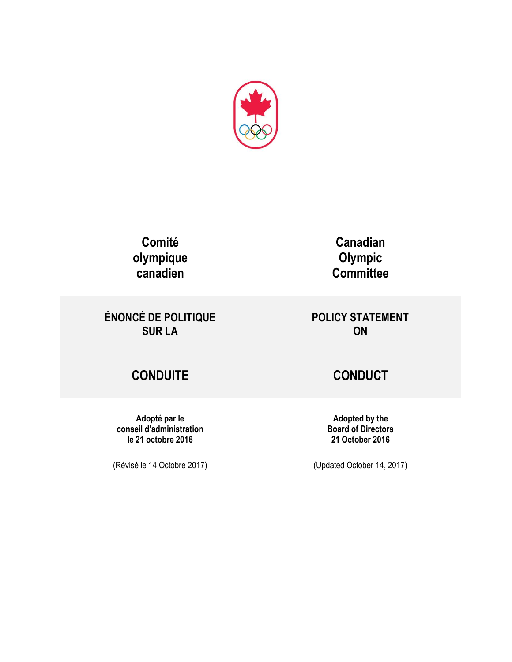

**Comité olympique canadien**

**ÉNONCÉ DE POLITIQUE SUR LA**

**Adopté par le conseil d'administration le 21 octobre 2016**

(Révisé le 14 Octobre 2017)

**Canadian Olympic Committee**

**POLICY STATEMENT ON**

# **CONDUITE CONDUCT**

**Adopted by the Board of Directors 21 October 2016**

(Updated October 14, 2017)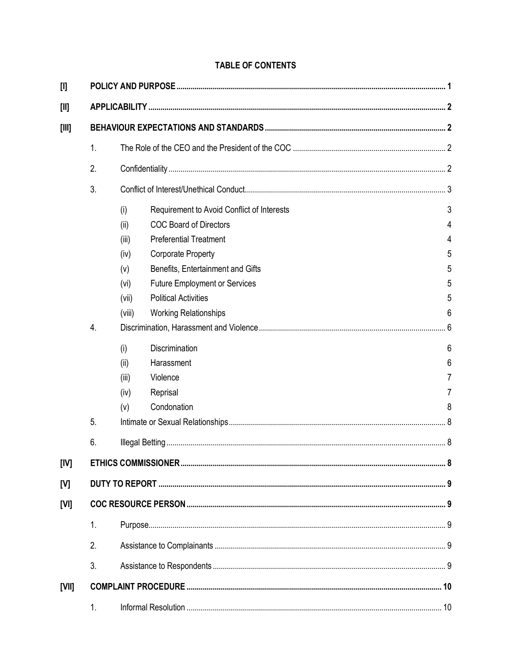### **TABLE OF CONTENTS**

| $[1]$   |                |        |                                            |   |
|---------|----------------|--------|--------------------------------------------|---|
| $[1]$   |                |        |                                            |   |
| $[III]$ |                |        |                                            |   |
|         | 1.             |        |                                            |   |
|         | 2.             |        |                                            |   |
|         | 3.             |        |                                            |   |
|         |                | (i)    | Requirement to Avoid Conflict of Interests | 3 |
|         |                | (ii)   | <b>COC Board of Directors</b>              | 4 |
|         |                | (iii)  | <b>Preferential Treatment</b>              | 4 |
|         |                | (iv)   | <b>Corporate Property</b>                  | 5 |
|         |                | (v)    | Benefits, Entertainment and Gifts          | 5 |
|         |                | (vi)   | <b>Future Employment or Services</b>       | 5 |
|         |                | (vii)  | <b>Political Activities</b>                | 5 |
|         |                | (viii) | <b>Working Relationships</b>               | 6 |
|         | 4.             |        |                                            |   |
|         |                | (i)    | Discrimination                             | 6 |
|         |                | (ii)   | Harassment                                 | 6 |
|         |                | (iii)  | Violence                                   | 7 |
|         |                | (iv)   | Reprisal                                   |   |
|         |                | (v)    | Condonation                                | 8 |
|         | 5.             |        |                                            |   |
|         | 6.             |        |                                            |   |
| [IV]    |                |        |                                            |   |
| [V]     |                |        |                                            |   |
| [VI]    |                |        |                                            |   |
|         | $\mathbf{1}$ . |        |                                            |   |
|         | 2.             |        |                                            |   |
|         | 3.             |        |                                            |   |
| [VII]   |                |        |                                            |   |
|         | 1.             |        |                                            |   |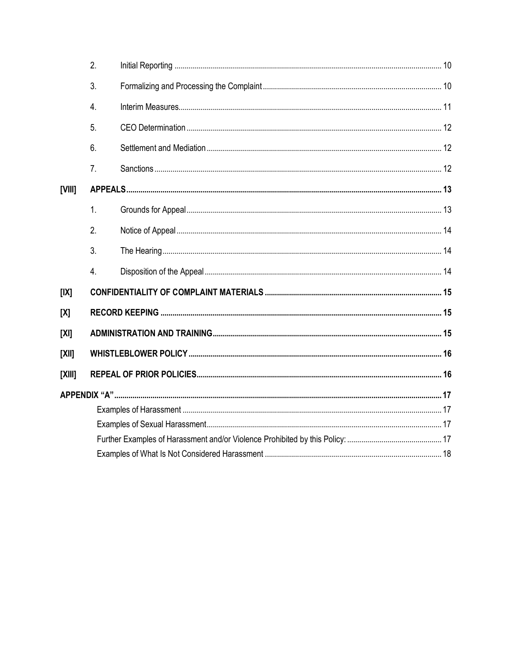|          | 2.               |  |  |
|----------|------------------|--|--|
|          | 3.               |  |  |
|          | 4.               |  |  |
|          | 5.               |  |  |
|          | 6.               |  |  |
|          | 7 <sub>1</sub>   |  |  |
| [VIII]   |                  |  |  |
|          | 1.               |  |  |
|          | 2.               |  |  |
|          | 3.               |  |  |
|          | $\overline{4}$ . |  |  |
| [IX]     |                  |  |  |
| [X]      |                  |  |  |
| [X]      |                  |  |  |
| $[X$ II] |                  |  |  |
| [XIII]   |                  |  |  |
|          |                  |  |  |
|          |                  |  |  |
|          |                  |  |  |
|          |                  |  |  |
|          |                  |  |  |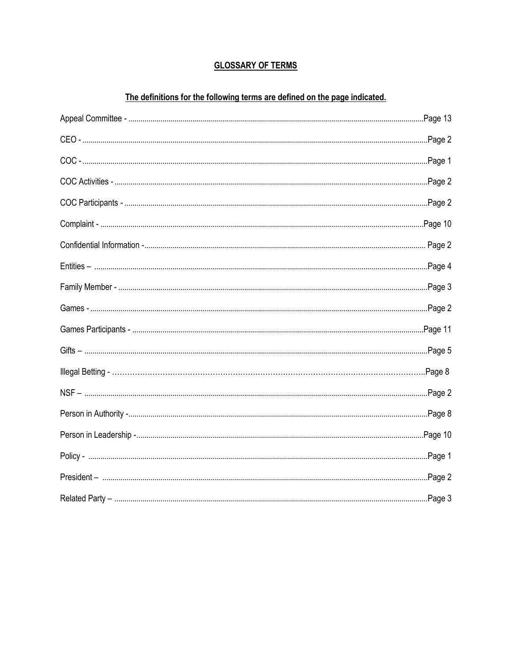### **GLOSSARY OF TERMS**

### The definitions for the following terms are defined on the page indicated.

| Page 2  |
|---------|
|         |
| Page 3  |
|         |
|         |
|         |
|         |
| Page 2  |
|         |
|         |
| Page 1. |
| Page 2  |
|         |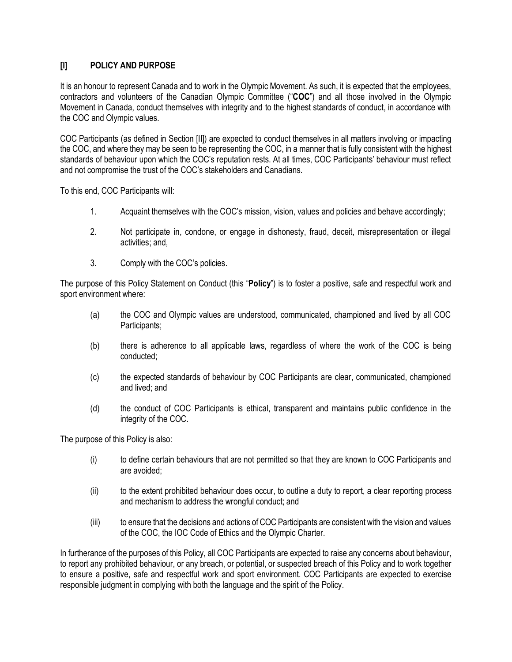### <span id="page-4-0"></span>**[I] POLICY AND PURPOSE**

It is an honour to represent Canada and to work in the Olympic Movement. As such, it is expected that the employees, contractors and volunteers of the Canadian Olympic Committee ("**COC**") and all those involved in the Olympic Movement in Canada, conduct themselves with integrity and to the highest standards of conduct, in accordance with the COC and Olympic values.

COC Participants (as defined in Section [\[II\]\)](#page-5-0) are expected to conduct themselves in all matters involving or impacting the COC, and where they may be seen to be representing the COC, in a manner that is fully consistent with the highest standards of behaviour upon which the COC's reputation rests. At all times, COC Participants' behaviour must reflect and not compromise the trust of the COC's stakeholders and Canadians.

To this end, COC Participants will:

- 1. Acquaint themselves with the COC's mission, vision, values and policies and behave accordingly;
- 2. Not participate in, condone, or engage in dishonesty, fraud, deceit, misrepresentation or illegal activities; and,
- 3. Comply with the COC's policies.

The purpose of this Policy Statement on Conduct (this "**Policy**") is to foster a positive, safe and respectful work and sport environment where:

- (a) the COC and Olympic values are understood, communicated, championed and lived by all COC Participants;
- (b) there is adherence to all applicable laws, regardless of where the work of the COC is being conducted;
- (c) the expected standards of behaviour by COC Participants are clear, communicated, championed and lived; and
- (d) the conduct of COC Participants is ethical, transparent and maintains public confidence in the integrity of the COC.

The purpose of this Policy is also:

- (i) to define certain behaviours that are not permitted so that they are known to COC Participants and are avoided;
- (ii) to the extent prohibited behaviour does occur, to outline a duty to report, a clear reporting process and mechanism to address the wrongful conduct; and
- (iii) to ensure that the decisions and actions of COC Participants are consistent with the vision and values of the COC, the IOC Code of Ethics and the Olympic Charter.

In furtherance of the purposes of this Policy, all COC Participants are expected to raise any concerns about behaviour, to report any prohibited behaviour, or any breach, or potential, or suspected breach of this Policy and to work together to ensure a positive, safe and respectful work and sport environment. COC Participants are expected to exercise responsible judgment in complying with both the language and the spirit of the Policy.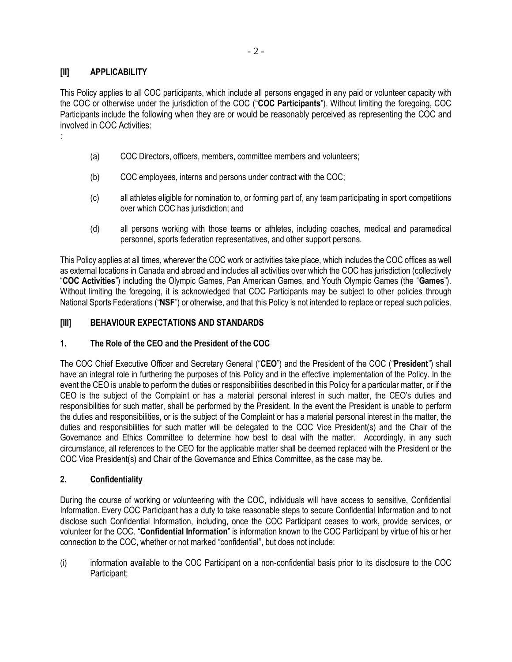### <span id="page-5-0"></span>**[II] APPLICABILITY**

:

This Policy applies to all COC participants, which include all persons engaged in any paid or volunteer capacity with the COC or otherwise under the jurisdiction of the COC ("**COC Participants**"). Without limiting the foregoing, COC Participants include the following when they are or would be reasonably perceived as representing the COC and involved in COC Activities:

- (a) COC Directors, officers, members, committee members and volunteers;
- (b) COC employees, interns and persons under contract with the COC;
- <span id="page-5-5"></span>(c) all athletes eligible for nomination to, or forming part of, any team participating in sport competitions over which COC has jurisdiction; and
- (d) all persons working with those teams or athletes, including coaches, medical and paramedical personnel, sports federation representatives, and other support persons.

<span id="page-5-4"></span>This Policy applies at all times, wherever the COC work or activities take place, which includes the COC offices as well as external locations in Canada and abroad and includes all activities over which the COC has jurisdiction (collectively "**COC Activities**") including the Olympic Games, Pan American Games, and Youth Olympic Games (the "**Games**"). Without limiting the foregoing, it is acknowledged that COC Participants may be subject to other policies through National Sports Federations ("**NSF**") or otherwise, and that this Policy is not intended to replace or repeal such policies.

### <span id="page-5-1"></span>**[III] BEHAVIOUR EXPECTATIONS AND STANDARDS**

### <span id="page-5-2"></span>**1. The Role of the CEO and the President of the COC**

The COC Chief Executive Officer and Secretary General ("**CEO**") and the President of the COC ("**President**") shall have an integral role in furthering the purposes of this Policy and in the effective implementation of the Policy. In the event the CEO is unable to perform the duties or responsibilities described in this Policy for a particular matter, or if the CEO is the subject of the Complaint or has a material personal interest in such matter, the CEO's duties and responsibilities for such matter, shall be performed by the President. In the event the President is unable to perform the duties and responsibilities, or is the subject of the Complaint or has a material personal interest in the matter, the duties and responsibilities for such matter will be delegated to the COC Vice President(s) and the Chair of the Governance and Ethics Committee to determine how best to deal with the matter. Accordingly, in any such circumstance, all references to the CEO for the applicable matter shall be deemed replaced with the President or the COC Vice President(s) and Chair of the Governance and Ethics Committee, as the case may be.

### <span id="page-5-3"></span>**2. Confidentiality**

During the course of working or volunteering with the COC, individuals will have access to sensitive, Confidential Information. Every COC Participant has a duty to take reasonable steps to secure Confidential Information and to not disclose such Confidential Information, including, once the COC Participant ceases to work, provide services, or volunteer for the COC. "**Confidential Information**" is information known to the COC Participant by virtue of his or her connection to the COC, whether or not marked "confidential", but does not include:

(i) information available to the COC Participant on a non-confidential basis prior to its disclosure to the COC Participant;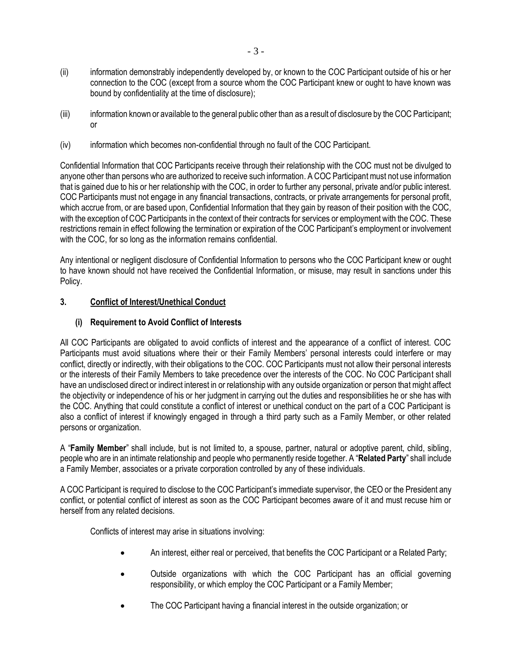- (ii) information demonstrably independently developed by, or known to the COC Participant outside of his or her connection to the COC (except from a source whom the COC Participant knew or ought to have known was bound by confidentiality at the time of disclosure);
- (iii) information known or available to the general public other than as a result of disclosure by the COC Participant; or
- (iv) information which becomes non-confidential through no fault of the COC Participant.

Confidential Information that COC Participants receive through their relationship with the COC must not be divulged to anyone other than persons who are authorized to receive such information. A COC Participant must not use information that is gained due to his or her relationship with the COC, in order to further any personal, private and/or public interest. COC Participants must not engage in any financial transactions, contracts, or private arrangements for personal profit, which accrue from, or are based upon, Confidential Information that they gain by reason of their position with the COC, with the exception of COC Participants in the context of their contracts for services or employment with the COC. These restrictions remain in effect following the termination or expiration of the COC Participant's employment or involvement with the COC, for so long as the information remains confidential.

Any intentional or negligent disclosure of Confidential Information to persons who the COC Participant knew or ought to have known should not have received the Confidential Information, or misuse, may result in sanctions under this Policy.

### <span id="page-6-0"></span>**3. Conflict of Interest/Unethical Conduct**

### <span id="page-6-1"></span>**(i) Requirement to Avoid Conflict of Interests**

All COC Participants are obligated to avoid conflicts of interest and the appearance of a conflict of interest. COC Participants must avoid situations where their or their Family Members' personal interests could interfere or may conflict, directly or indirectly, with their obligations to the COC. COC Participants must not allow their personal interests or the interests of their Family Members to take precedence over the interests of the COC. No COC Participant shall have an undisclosed direct or indirect interest in or relationship with any outside organization or person that might affect the objectivity or independence of his or her judgment in carrying out the duties and responsibilities he or she has with the COC. Anything that could constitute a conflict of interest or unethical conduct on the part of a COC Participant is also a conflict of interest if knowingly engaged in through a third party such as a Family Member, or other related persons or organization.

A "**Family Member**" shall include, but is not limited to, a spouse, partner, natural or adoptive parent, child, sibling, people who are in an intimate relationship and people who permanently reside together. A "**Related Party**" shall include a Family Member, associates or a private corporation controlled by any of these individuals.

A COC Participant is required to disclose to the COC Participant's immediate supervisor, the CEO or the President any conflict, or potential conflict of interest as soon as the COC Participant becomes aware of it and must recuse him or herself from any related decisions.

Conflicts of interest may arise in situations involving:

- An interest, either real or perceived, that benefits the COC Participant or a Related Party;
- Outside organizations with which the COC Participant has an official governing responsibility, or which employ the COC Participant or a Family Member;
- The COC Participant having a financial interest in the outside organization; or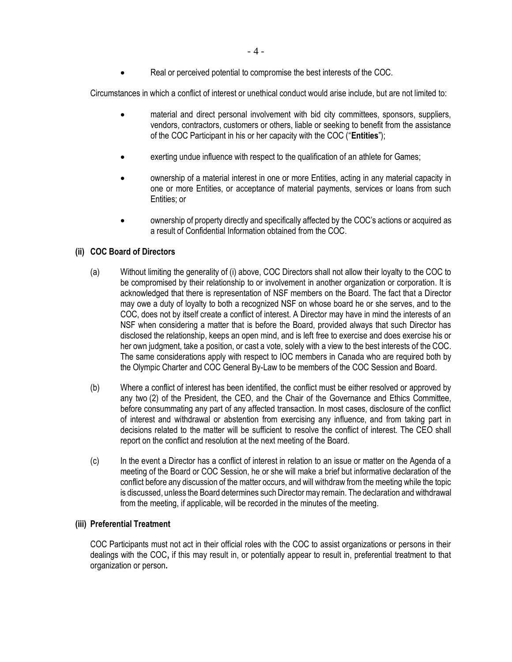• Real or perceived potential to compromise the best interests of the COC.

Circumstances in which a conflict of interest or unethical conduct would arise include, but are not limited to:

- material and direct personal involvement with bid city committees, sponsors, suppliers, vendors, contractors, customers or others, liable or seeking to benefit from the assistance of the COC Participant in his or her capacity with the COC ("**Entities**");
- exerting undue influence with respect to the qualification of an athlete for Games;
- ownership of a material interest in one or more Entities, acting in any material capacity in one or more Entities, or acceptance of material payments, services or loans from such Entities; or
- ownership of property directly and specifically affected by the COC's actions or acquired as a result of Confidential Information obtained from the COC.

### <span id="page-7-0"></span>**(ii) COC Board of Directors**

- (a) Without limiting the generality of [\(i\)](#page-6-1) above, COC Directors shall not allow their loyalty to the COC to be compromised by their relationship to or involvement in another organization or corporation. It is acknowledged that there is representation of NSF members on the Board. The fact that a Director may owe a duty of loyalty to both a recognized NSF on whose board he or she serves, and to the COC, does not by itself create a conflict of interest. A Director may have in mind the interests of an NSF when considering a matter that is before the Board, provided always that such Director has disclosed the relationship, keeps an open mind, and is left free to exercise and does exercise his or her own judgment, take a position, or cast a vote, solely with a view to the best interests of the COC. The same considerations apply with respect to IOC members in Canada who are required both by the Olympic Charter and COC General By-Law to be members of the COC Session and Board.
- (b) Where a conflict of interest has been identified, the conflict must be either resolved or approved by any two (2) of the President, the CEO, and the Chair of the Governance and Ethics Committee, before consummating any part of any affected transaction. In most cases, disclosure of the conflict of interest and withdrawal or abstention from exercising any influence, and from taking part in decisions related to the matter will be sufficient to resolve the conflict of interest. The CEO shall report on the conflict and resolution at the next meeting of the Board.
- (c) In the event a Director has a conflict of interest in relation to an issue or matter on the Agenda of a meeting of the Board or COC Session, he or she will make a brief but informative declaration of the conflict before any discussion of the matter occurs, and will withdraw from the meeting while the topic is discussed, unless the Board determines such Director may remain. The declaration and withdrawal from the meeting, if applicable, will be recorded in the minutes of the meeting.

### <span id="page-7-1"></span>**(iii) Preferential Treatment**

COC Participants must not act in their official roles with the COC to assist organizations or persons in their dealings with the COC**,** if this may result in, or potentially appear to result in, preferential treatment to that organization or person**.**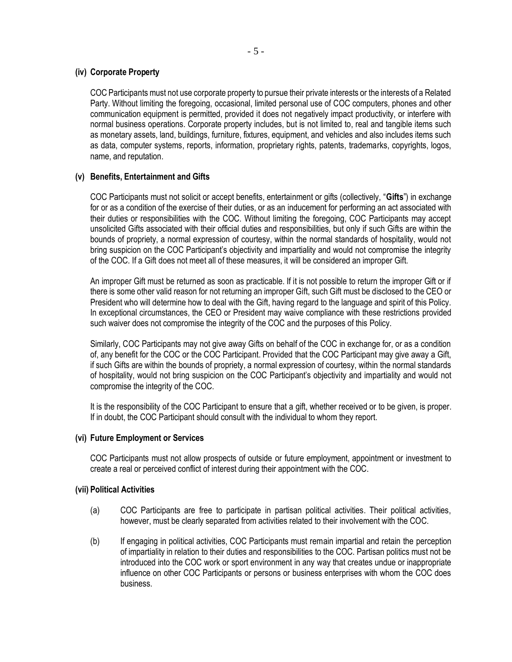### <span id="page-8-0"></span>**(iv) Corporate Property**

COC Participants must not use corporate property to pursue their private interests or the interests of a Related Party. Without limiting the foregoing, occasional, limited personal use of COC computers, phones and other communication equipment is permitted, provided it does not negatively impact productivity, or interfere with normal business operations. Corporate property includes, but is not limited to, real and tangible items such as monetary assets, land, buildings, furniture, fixtures, equipment, and vehicles and also includes items such as data, computer systems, reports, information, proprietary rights, patents, trademarks, copyrights, logos, name, and reputation.

### <span id="page-8-1"></span>**(v) Benefits, Entertainment and Gifts**

COC Participants must not solicit or accept benefits, entertainment or gifts (collectively, "**Gifts**") in exchange for or as a condition of the exercise of their duties, or as an inducement for performing an act associated with their duties or responsibilities with the COC. Without limiting the foregoing, COC Participants may accept unsolicited Gifts associated with their official duties and responsibilities, but only if such Gifts are within the bounds of propriety, a normal expression of courtesy, within the normal standards of hospitality, would not bring suspicion on the COC Participant's objectivity and impartiality and would not compromise the integrity of the COC. If a Gift does not meet all of these measures, it will be considered an improper Gift.

An improper Gift must be returned as soon as practicable. If it is not possible to return the improper Gift or if there is some other valid reason for not returning an improper Gift, such Gift must be disclosed to the CEO or President who will determine how to deal with the Gift, having regard to the language and spirit of this Policy. In exceptional circumstances, the CEO or President may waive compliance with these restrictions provided such waiver does not compromise the integrity of the COC and the purposes of this Policy.

Similarly, COC Participants may not give away Gifts on behalf of the COC in exchange for, or as a condition of, any benefit for the COC or the COC Participant. Provided that the COC Participant may give away a Gift, if such Gifts are within the bounds of propriety, a normal expression of courtesy, within the normal standards of hospitality, would not bring suspicion on the COC Participant's objectivity and impartiality and would not compromise the integrity of the COC.

It is the responsibility of the COC Participant to ensure that a gift, whether received or to be given, is proper. If in doubt, the COC Participant should consult with the individual to whom they report.

### <span id="page-8-2"></span>**(vi) Future Employment or Services**

COC Participants must not allow prospects of outside or future employment, appointment or investment to create a real or perceived conflict of interest during their appointment with the COC.

### <span id="page-8-3"></span>**(vii) Political Activities**

- (a) COC Participants are free to participate in partisan political activities. Their political activities, however, must be clearly separated from activities related to their involvement with the COC.
- (b) If engaging in political activities, COC Participants must remain impartial and retain the perception of impartiality in relation to their duties and responsibilities to the COC. Partisan politics must not be introduced into the COC work or sport environment in any way that creates undue or inappropriate influence on other COC Participants or persons or business enterprises with whom the COC does business.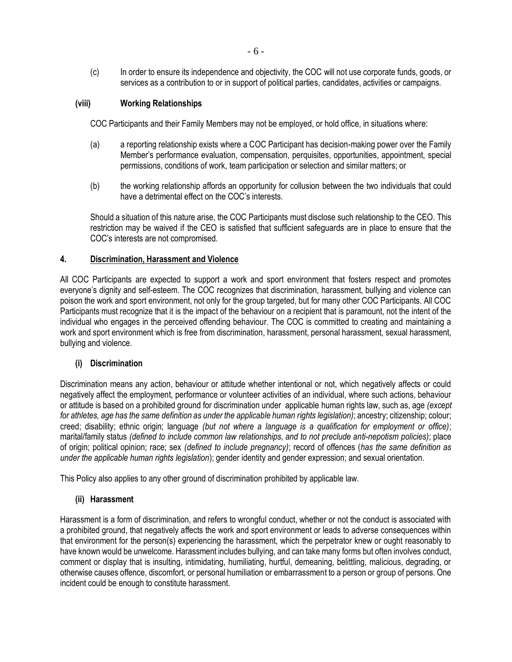(c) In order to ensure its independence and objectivity, the COC will not use corporate funds, goods, or services as a contribution to or in support of political parties, candidates, activities or campaigns.

### <span id="page-9-0"></span>**(viii) Working Relationships**

COC Participants and their Family Members may not be employed, or hold office, in situations where:

- (a) a reporting relationship exists where a COC Participant has decision-making power over the Family Member's performance evaluation, compensation, perquisites, opportunities, appointment, special permissions, conditions of work, team participation or selection and similar matters; or
- (b) the working relationship affords an opportunity for collusion between the two individuals that could have a detrimental effect on the COC's interests.

Should a situation of this nature arise, the COC Participants must disclose such relationship to the CEO. This restriction may be waived if the CEO is satisfied that sufficient safeguards are in place to ensure that the COC's interests are not compromised.

#### <span id="page-9-1"></span>**4. Discrimination, Harassment and Violence**

All COC Participants are expected to support a work and sport environment that fosters respect and promotes everyone's dignity and self-esteem. The COC recognizes that discrimination, harassment, bullying and violence can poison the work and sport environment, not only for the group targeted, but for many other COC Participants. All COC Participants must recognize that it is the impact of the behaviour on a recipient that is paramount, not the intent of the individual who engages in the perceived offending behaviour. The COC is committed to creating and maintaining a work and sport environment which is free from discrimination, harassment, personal harassment, sexual harassment, bullying and violence.

### <span id="page-9-2"></span>**(i) Discrimination**

Discrimination means any action, behaviour or attitude whether intentional or not, which negatively affects or could negatively affect the employment, performance or volunteer activities of an individual, where such actions, behaviour or attitude is based on a prohibited ground for discrimination under applicable human rights law, such as, age *(except for athletes, age has the same definition as under the applicable human rights legislation)*; ancestry; citizenship; colour; creed; disability; ethnic origin; language *(but not where a language is a qualification for employment or office)*; marital/family status *(defined to include common law relationships, and to not preclude anti-nepotism policies)*; place of origin; political opinion; race; sex *(defined to include pregnancy)*; record of offences (*has the same definition as under the applicable human rights legislation*); gender identity and gender expression; and sexual orientation.

This Policy also applies to any other ground of discrimination prohibited by applicable law.

### <span id="page-9-3"></span>**(ii) Harassment**

Harassment is a form of discrimination, and refers to wrongful conduct, whether or not the conduct is associated with a prohibited ground, that negatively affects the work and sport environment or leads to adverse consequences within that environment for the person(s) experiencing the harassment, which the perpetrator knew or ought reasonably to have known would be unwelcome. Harassment includes bullying, and can take many forms but often involves conduct, comment or display that is insulting, intimidating, humiliating, hurtful, demeaning, belittling, malicious, degrading, or otherwise causes offence, discomfort, or personal humiliation or embarrassment to a person or group of persons. One incident could be enough to constitute harassment.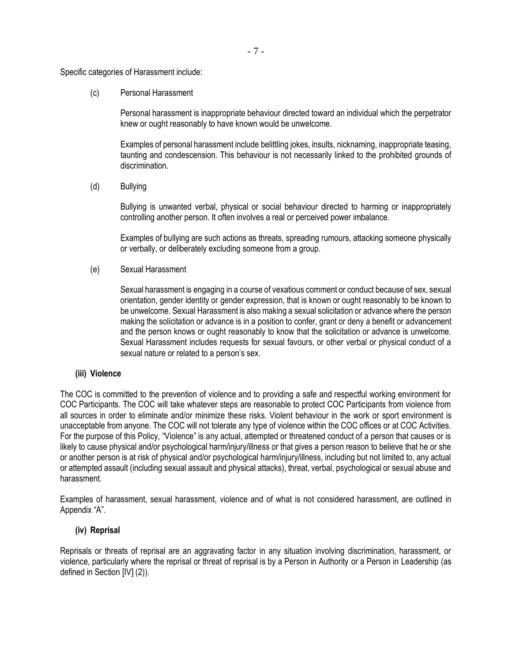Specific categories of Harassment include:

(c) Personal Harassment

Personal harassment is inappropriate behaviour directed toward an individual which the perpetrator knew or ought reasonably to have known would be unwelcome.

Examples of personal harassment include belittling jokes, insults, nicknaming, inappropriate teasing, taunting and condescension. This behaviour is not necessarily linked to the prohibited grounds of discrimination.

(d) Bullying

Bullying is unwanted verbal, physical or social behaviour directed to harming or inappropriately controlling another person. It often involves a real or perceived power imbalance.

Examples of bullying are such actions as threats, spreading rumours, attacking someone physically or verbally, or deliberately excluding someone from a group.

(e) Sexual Harassment

Sexual harassment is engaging in a course of vexatious comment or conduct because of sex, sexual orientation, gender identity or gender expression, that is known or ought reasonably to be known to be unwelcome. Sexual Harassment is also making a sexual solicitation or advance where the person making the solicitation or advance is in a position to confer, grant or deny a benefit or advancement and the person knows or ought reasonably to know that the solicitation or advance is unwelcome. Sexual Harassment includes requests for sexual favours, or other verbal or physical conduct of a sexual nature or related to a person's sex.

#### <span id="page-10-0"></span>**(iii) Violence**

The COC is committed to the prevention of violence and to providing a safe and respectful working environment for COC Participants. The COC will take whatever steps are reasonable to protect COC Participants from violence from all sources in order to eliminate and/or minimize these risks. Violent behaviour in the work or sport environment is unacceptable from anyone. The COC will not tolerate any type of violence within the COC offices or at COC Activities. For the purpose of this Policy, "Violence" is any actual, attempted or threatened conduct of a person that causes or is likely to cause physical and/or psychological harm/injury/illness or that gives a person reason to believe that he or she or another person is at risk of physical and/or psychological harm/injury/illness, including but not limited to, any actual or attempted assault (including sexual assault and physical attacks), threat, verbal, psychological or sexual abuse and harassment.

Examples of harassment, sexual harassment, violence and of what is not considered harassment, are outlined in [Appendix](#page-20-0) "A".

### <span id="page-10-1"></span>**(iv) Reprisal**

Reprisals or threats of reprisal are an aggravating factor in any situation involving discrimination, harassment, or violence, particularly where the reprisal or threat of reprisal is by a Person in Authority or a Person in Leadership (as defined in Section [\[IV\]](#page-11-3) (2)).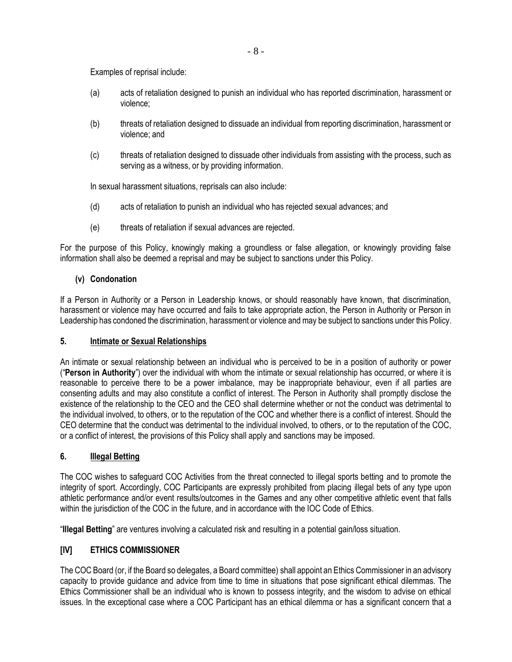Examples of reprisal include:

- (a) acts of retaliation designed to punish an individual who has reported discrimination, harassment or violence;
- (b) threats of retaliation designed to dissuade an individual from reporting discrimination, harassment or violence; and
- (c) threats of retaliation designed to dissuade other individuals from assisting with the process, such as serving as a witness, or by providing information.

In sexual harassment situations, reprisals can also include:

- (d) acts of retaliation to punish an individual who has rejected sexual advances; and
- (e) threats of retaliation if sexual advances are rejected.

For the purpose of this Policy, knowingly making a groundless or false allegation, or knowingly providing false information shall also be deemed a reprisal and may be subject to sanctions under this Policy.

### <span id="page-11-0"></span>**(v) Condonation**

If a Person in Authority or a Person in Leadership knows, or should reasonably have known, that discrimination, harassment or violence may have occurred and fails to take appropriate action, the Person in Authority or Person in Leadership has condoned the discrimination, harassment or violence and may be subject to sanctions under this Policy.

### <span id="page-11-1"></span>**5. Intimate or Sexual Relationships**

An intimate or sexual relationship between an individual who is perceived to be in a position of authority or power ("**Person in Authority**") over the individual with whom the intimate or sexual relationship has occurred, or where it is reasonable to perceive there to be a power imbalance, may be inappropriate behaviour, even if all parties are consenting adults and may also constitute a conflict of interest. The Person in Authority shall promptly disclose the existence of the relationship to the CEO and the CEO shall determine whether or not the conduct was detrimental to the individual involved, to others, or to the reputation of the COC and whether there is a conflict of interest. Should the CEO determine that the conduct was detrimental to the individual involved, to others, or to the reputation of the COC, or a conflict of interest, the provisions of this Policy shall apply and sanctions may be imposed.

### <span id="page-11-2"></span>**6. Illegal Betting**

The COC wishes to safeguard COC Activities from the threat connected to illegal sports betting and to promote the integrity of sport. Accordingly, COC Participants are expressly prohibited from placing illegal bets of any type upon athletic performance and/or event results/outcomes in the Games and any other competitive athletic event that falls within the jurisdiction of the COC in the future, and in accordance with the IOC Code of Ethics.

"**Illegal Betting**" are ventures involving a calculated risk and resulting in a potential gain/loss situation.

### <span id="page-11-3"></span>**[IV] ETHICS COMMISSIONER**

The COC Board (or, if the Board so delegates, a Board committee) shall appoint an Ethics Commissioner in an advisory capacity to provide guidance and advice from time to time in situations that pose significant ethical dilemmas. The Ethics Commissioner shall be an individual who is known to possess integrity, and the wisdom to advise on ethical issues. In the exceptional case where a COC Participant has an ethical dilemma or has a significant concern that a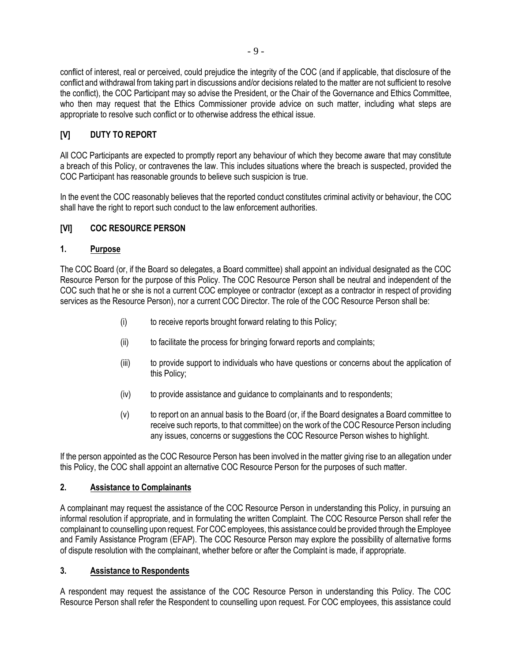conflict of interest, real or perceived, could prejudice the integrity of the COC (and if applicable, that disclosure of the conflict and withdrawal from taking part in discussions and/or decisions related to the matter are not sufficient to resolve the conflict), the COC Participant may so advise the President, or the Chair of the Governance and Ethics Committee, who then may request that the Ethics Commissioner provide advice on such matter, including what steps are appropriate to resolve such conflict or to otherwise address the ethical issue.

### <span id="page-12-0"></span>**[V] DUTY TO REPORT**

All COC Participants are expected to promptly report any behaviour of which they become aware that may constitute a breach of this Policy, or contravenes the law. This includes situations where the breach is suspected, provided the COC Participant has reasonable grounds to believe such suspicion is true.

In the event the COC reasonably believes that the reported conduct constitutes criminal activity or behaviour, the COC shall have the right to report such conduct to the law enforcement authorities.

### <span id="page-12-1"></span>**[VI] COC RESOURCE PERSON**

### <span id="page-12-2"></span>**1. Purpose**

The COC Board (or, if the Board so delegates, a Board committee) shall appoint an individual designated as the COC Resource Person for the purpose of this Policy. The COC Resource Person shall be neutral and independent of the COC such that he or she is not a current COC employee or contractor (except as a contractor in respect of providing services as the Resource Person), nor a current COC Director. The role of the COC Resource Person shall be:

- (i) to receive reports brought forward relating to this Policy;
- (ii) to facilitate the process for bringing forward reports and complaints;
- (iii) to provide support to individuals who have questions or concerns about the application of this Policy;
- (iv) to provide assistance and guidance to complainants and to respondents;
- (v) to report on an annual basis to the Board (or, if the Board designates a Board committee to receive such reports, to that committee) on the work of the COC Resource Person including any issues, concerns or suggestions the COC Resource Person wishes to highlight.

If the person appointed as the COC Resource Person has been involved in the matter giving rise to an allegation under this Policy, the COC shall appoint an alternative COC Resource Person for the purposes of such matter.

### <span id="page-12-3"></span>**2. Assistance to Complainants**

A complainant may request the assistance of the COC Resource Person in understanding this Policy, in pursuing an informal resolution if appropriate, and in formulating the written Complaint. The COC Resource Person shall refer the complainant to counselling upon request. For COC employees, this assistance could be provided through the Employee and Family Assistance Program (EFAP). The COC Resource Person may explore the possibility of alternative forms of dispute resolution with the complainant, whether before or after the Complaint is made, if appropriate.

### <span id="page-12-4"></span>**3. Assistance to Respondents**

A respondent may request the assistance of the COC Resource Person in understanding this Policy. The COC Resource Person shall refer the Respondent to counselling upon request. For COC employees, this assistance could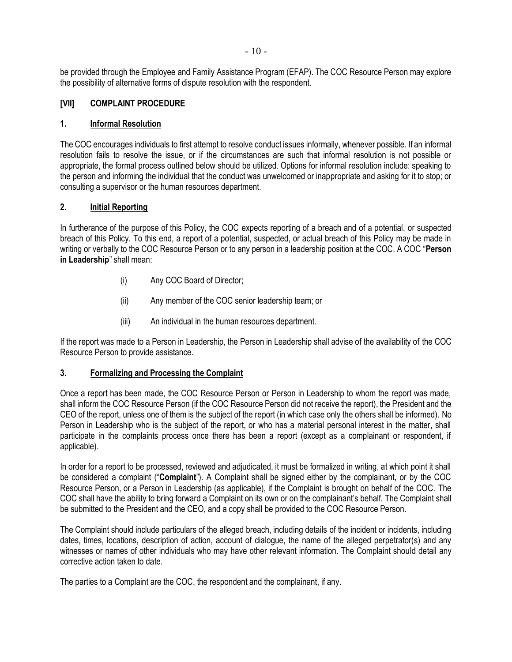be provided through the Employee and Family Assistance Program (EFAP). The COC Resource Person may explore the possibility of alternative forms of dispute resolution with the respondent.

### <span id="page-13-0"></span>**[VII] COMPLAINT PROCEDURE**

### <span id="page-13-1"></span>**1. Informal Resolution**

The COC encourages individuals to first attempt to resolve conduct issues informally, whenever possible. If an informal resolution fails to resolve the issue, or if the circumstances are such that informal resolution is not possible or appropriate, the formal process outlined below should be utilized. Options for informal resolution include: speaking to the person and informing the individual that the conduct was unwelcomed or inappropriate and asking for it to stop; or consulting a supervisor or the human resources department.

### <span id="page-13-2"></span>**2. Initial Reporting**

In furtherance of the purpose of this Policy, the COC expects reporting of a breach and of a potential, or suspected breach of this Policy. To this end, a report of a potential, suspected, or actual breach of this Policy may be made in writing or verbally to the COC Resource Person or to any person in a leadership position at the COC. A COC "**Person in Leadership**" shall mean:

- (i) Any COC Board of Director;
- (ii) Any member of the COC senior leadership team; or
- (iii) An individual in the human resources department.

If the report was made to a Person in Leadership, the Person in Leadership shall advise of the availability of the COC Resource Person to provide assistance.

### <span id="page-13-3"></span>**3. Formalizing and Processing the Complaint**

Once a report has been made, the COC Resource Person or Person in Leadership to whom the report was made, shall inform the COC Resource Person (if the COC Resource Person did not receive the report), the President and the CEO of the report, unless one of them is the subject of the report (in which case only the others shall be informed). No Person in Leadership who is the subject of the report, or who has a material personal interest in the matter, shall participate in the complaints process once there has been a report (except as a complainant or respondent, if applicable).

In order for a report to be processed, reviewed and adjudicated, it must be formalized in writing, at which point it shall be considered a complaint ("**Complaint**"). A Complaint shall be signed either by the complainant, or by the COC Resource Person, or a Person in Leadership (as applicable), if the Complaint is brought on behalf of the COC. The COC shall have the ability to bring forward a Complaint on its own or on the complainant's behalf. The Complaint shall be submitted to the President and the CEO, and a copy shall be provided to the COC Resource Person.

The Complaint should include particulars of the alleged breach, including details of the incident or incidents, including dates, times, locations, description of action, account of dialogue, the name of the alleged perpetrator(s) and any witnesses or names of other individuals who may have other relevant information. The Complaint should detail any corrective action taken to date.

The parties to a Complaint are the COC, the respondent and the complainant, if any.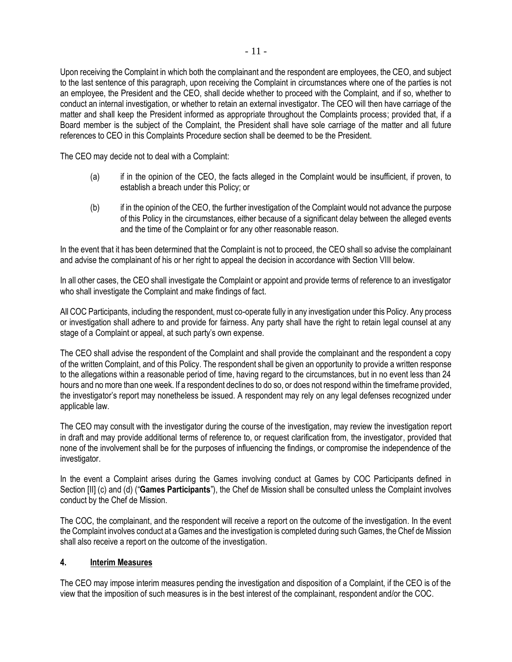Upon receiving the Complaint in which both the complainant and the respondent are employees, the CEO, and subject to the last sentence of this paragraph, upon receiving the Complaint in circumstances where one of the parties is not an employee, the President and the CEO, shall decide whether to proceed with the Complaint, and if so, whether to conduct an internal investigation, or whether to retain an external investigator. The CEO will then have carriage of the matter and shall keep the President informed as appropriate throughout the Complaints process; provided that, if a Board member is the subject of the Complaint, the President shall have sole carriage of the matter and all future references to CEO in this Complaints Procedure section shall be deemed to be the President.

The CEO may decide not to deal with a Complaint:

- (a) if in the opinion of the CEO, the facts alleged in the Complaint would be insufficient, if proven, to establish a breach under this Policy; or
- (b) if in the opinion of the CEO, the further investigation of the Complaint would not advance the purpose of this Policy in the circumstances, either because of a significant delay between the alleged events and the time of the Complaint or for any other reasonable reason.

In the event that it has been determined that the Complaint is not to proceed, the CEO shall so advise the complainant and advise the complainant of his or her right to appeal the decision in accordance with Section VIII below.

In all other cases, the CEO shall investigate the Complaint or appoint and provide terms of reference to an investigator who shall investigate the Complaint and make findings of fact.

All COC Participants, including the respondent, must co-operate fully in any investigation under this Policy. Any process or investigation shall adhere to and provide for fairness. Any party shall have the right to retain legal counsel at any stage of a Complaint or appeal, at such party's own expense.

The CEO shall advise the respondent of the Complaint and shall provide the complainant and the respondent a copy of the written Complaint, and of this Policy. The respondent shall be given an opportunity to provide a written response to the allegations within a reasonable period of time, having regard to the circumstances, but in no event less than 24 hours and no more than one week. If a respondent declines to do so, or does not respond within the timeframe provided, the investigator's report may nonetheless be issued. A respondent may rely on any legal defenses recognized under applicable law.

The CEO may consult with the investigator during the course of the investigation, may review the investigation report in draft and may provide additional terms of reference to, or request clarification from, the investigator, provided that none of the involvement shall be for the purposes of influencing the findings, or compromise the independence of the investigator.

In the event a Complaint arises during the Games involving conduct at Games by COC Participants defined in Section [\[II\]](#page-5-0) [\(c\)](#page-5-5) and (d) ("**Games Participants**"), the Chef de Mission shall be consulted unless the Complaint involves conduct by the Chef de Mission.

The COC, the complainant, and the respondent will receive a report on the outcome of the investigation. In the event the Complaint involves conduct at a Games and the investigation is completed during such Games, the Chef de Mission shall also receive a report on the outcome of the investigation.

### <span id="page-14-0"></span>**4. Interim Measures**

The CEO may impose interim measures pending the investigation and disposition of a Complaint, if the CEO is of the view that the imposition of such measures is in the best interest of the complainant, respondent and/or the COC.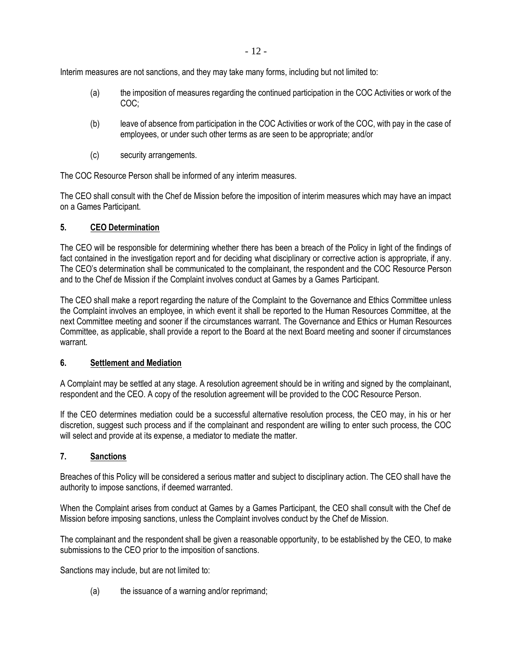- 12 -

Interim measures are not sanctions, and they may take many forms, including but not limited to:

- (a) the imposition of measures regarding the continued participation in the COC Activities or work of the COC;
- (b) leave of absence from participation in the COC Activities or work of the COC, with pay in the case of employees, or under such other terms as are seen to be appropriate; and/or
- (c) security arrangements.

The COC Resource Person shall be informed of any interim measures.

The CEO shall consult with the Chef de Mission before the imposition of interim measures which may have an impact on a Games Participant.

### <span id="page-15-0"></span>**5. CEO Determination**

The CEO will be responsible for determining whether there has been a breach of the Policy in light of the findings of fact contained in the investigation report and for deciding what disciplinary or corrective action is appropriate, if any. The CEO's determination shall be communicated to the complainant, the respondent and the COC Resource Person and to the Chef de Mission if the Complaint involves conduct at Games by a Games Participant.

The CEO shall make a report regarding the nature of the Complaint to the Governance and Ethics Committee unless the Complaint involves an employee, in which event it shall be reported to the Human Resources Committee, at the next Committee meeting and sooner if the circumstances warrant. The Governance and Ethics or Human Resources Committee, as applicable, shall provide a report to the Board at the next Board meeting and sooner if circumstances warrant.

### <span id="page-15-1"></span>**6. Settlement and Mediation**

A Complaint may be settled at any stage. A resolution agreement should be in writing and signed by the complainant, respondent and the CEO. A copy of the resolution agreement will be provided to the COC Resource Person.

If the CEO determines mediation could be a successful alternative resolution process, the CEO may, in his or her discretion, suggest such process and if the complainant and respondent are willing to enter such process, the COC will select and provide at its expense, a mediator to mediate the matter.

### <span id="page-15-2"></span>**7. Sanctions**

Breaches of this Policy will be considered a serious matter and subject to disciplinary action. The CEO shall have the authority to impose sanctions, if deemed warranted.

When the Complaint arises from conduct at Games by a Games Participant, the CEO shall consult with the Chef de Mission before imposing sanctions, unless the Complaint involves conduct by the Chef de Mission.

The complainant and the respondent shall be given a reasonable opportunity, to be established by the CEO, to make submissions to the CEO prior to the imposition of sanctions.

Sanctions may include, but are not limited to:

(a) the issuance of a warning and/or reprimand;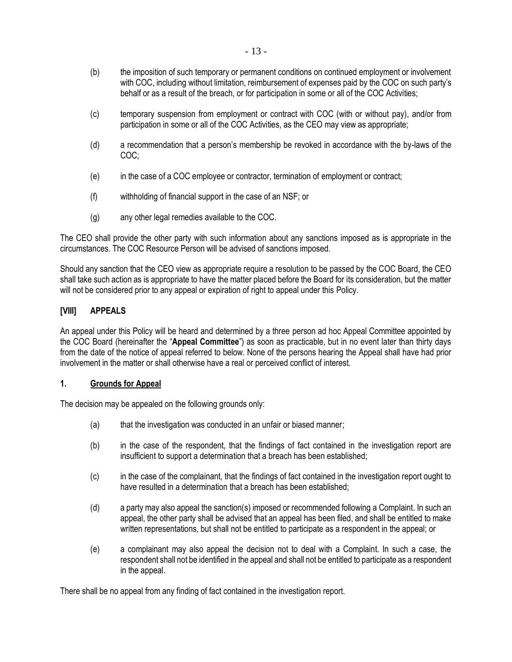- (b) the imposition of such temporary or permanent conditions on continued employment or involvement with COC, including without limitation, reimbursement of expenses paid by the COC on such party's behalf or as a result of the breach, or for participation in some or all of the COC Activities;
- (c) temporary suspension from employment or contract with COC (with or without pay), and/or from participation in some or all of the COC Activities, as the CEO may view as appropriate;
- (d) a recommendation that a person's membership be revoked in accordance with the by-laws of the COC;
- (e) in the case of a COC employee or contractor, termination of employment or contract;
- (f) withholding of financial support in the case of an NSF; or
- (g) any other legal remedies available to the COC.

The CEO shall provide the other party with such information about any sanctions imposed as is appropriate in the circumstances. The COC Resource Person will be advised of sanctions imposed.

Should any sanction that the CEO view as appropriate require a resolution to be passed by the COC Board, the CEO shall take such action as is appropriate to have the matter placed before the Board for its consideration, but the matter will not be considered prior to any appeal or expiration of right to appeal under this Policy.

### <span id="page-16-0"></span>**[VIII] APPEALS**

An appeal under this Policy will be heard and determined by a three person ad hoc Appeal Committee appointed by the COC Board (hereinafter the "**Appeal Committee**") as soon as practicable, but in no event later than thirty days from the date of the notice of appeal referred to below. None of the persons hearing the Appeal shall have had prior involvement in the matter or shall otherwise have a real or perceived conflict of interest.

### <span id="page-16-1"></span>**1. Grounds for Appeal**

The decision may be appealed on the following grounds only:

- (a) that the investigation was conducted in an unfair or biased manner;
- (b) in the case of the respondent, that the findings of fact contained in the investigation report are insufficient to support a determination that a breach has been established;
- (c) in the case of the complainant, that the findings of fact contained in the investigation report ought to have resulted in a determination that a breach has been established:
- <span id="page-16-2"></span>(d) a party may also appeal the sanction(s) imposed or recommended following a Complaint. In such an appeal, the other party shall be advised that an appeal has been filed, and shall be entitled to make written representations, but shall not be entitled to participate as a respondent in the appeal; or
- <span id="page-16-3"></span>(e) a complainant may also appeal the decision not to deal with a Complaint. In such a case, the respondent shall not be identified in the appeal and shall not be entitled to participate as a respondent in the appeal.

There shall be no appeal from any finding of fact contained in the investigation report.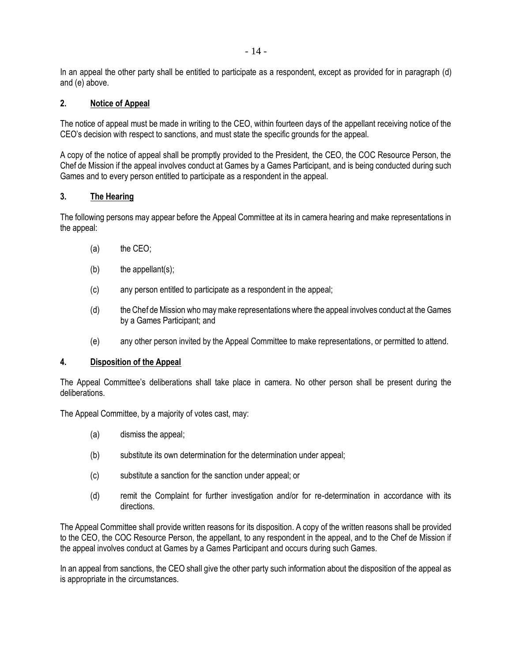In an appeal the other party shall be entitled to participate as a respondent, except as provided for in paragraph [\(d\)](#page-16-2) an[d \(e\)](#page-16-3) above.

### <span id="page-17-0"></span>**2. Notice of Appeal**

The notice of appeal must be made in writing to the CEO, within fourteen days of the appellant receiving notice of the CEO's decision with respect to sanctions, and must state the specific grounds for the appeal.

A copy of the notice of appeal shall be promptly provided to the President, the CEO, the COC Resource Person, the Chef de Mission if the appeal involves conduct at Games by a Games Participant, and is being conducted during such Games and to every person entitled to participate as a respondent in the appeal.

### <span id="page-17-1"></span>**3. The Hearing**

The following persons may appear before the Appeal Committee at its in camera hearing and make representations in the appeal:

- (a) the CEO;
- $(b)$  the appellant(s);
- (c) any person entitled to participate as a respondent in the appeal;
- (d) the Chef de Mission who may make representations where the appeal involves conduct at the Games by a Games Participant; and
- (e) any other person invited by the Appeal Committee to make representations, or permitted to attend.

### <span id="page-17-2"></span>**4. Disposition of the Appeal**

The Appeal Committee's deliberations shall take place in camera. No other person shall be present during the deliberations.

The Appeal Committee, by a majority of votes cast, may:

- (a) dismiss the appeal;
- (b) substitute its own determination for the determination under appeal;
- (c) substitute a sanction for the sanction under appeal; or
- (d) remit the Complaint for further investigation and/or for re-determination in accordance with its directions.

The Appeal Committee shall provide written reasons for its disposition. A copy of the written reasons shall be provided to the CEO, the COC Resource Person, the appellant, to any respondent in the appeal, and to the Chef de Mission if the appeal involves conduct at Games by a Games Participant and occurs during such Games.

In an appeal from sanctions, the CEO shall give the other party such information about the disposition of the appeal as is appropriate in the circumstances.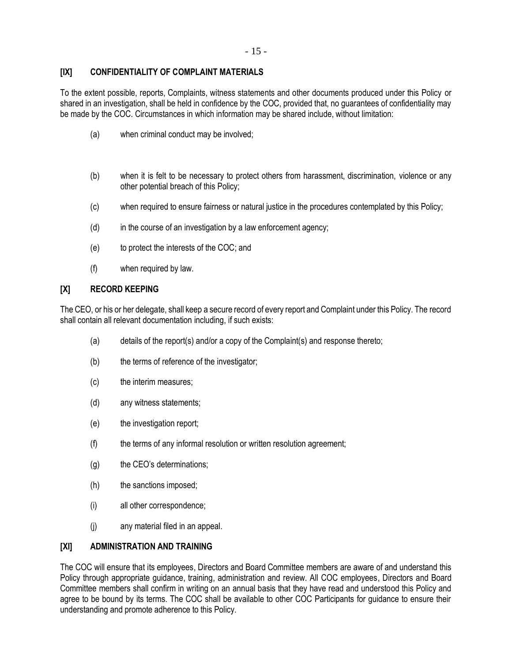### <span id="page-18-0"></span>**[IX] CONFIDENTIALITY OF COMPLAINT MATERIALS**

To the extent possible, reports, Complaints, witness statements and other documents produced under this Policy or shared in an investigation, shall be held in confidence by the COC, provided that, no guarantees of confidentiality may be made by the COC. Circumstances in which information may be shared include, without limitation:

- (a) when criminal conduct may be involved;
- (b) when it is felt to be necessary to protect others from harassment, discrimination, violence or any other potential breach of this Policy;
- (c) when required to ensure fairness or natural justice in the procedures contemplated by this Policy;
- $(d)$  in the course of an investigation by a law enforcement agency;
- (e) to protect the interests of the COC; and
- (f) when required by law.

### <span id="page-18-1"></span>**[X] RECORD KEEPING**

The CEO, or his or her delegate, shall keep a secure record of every report and Complaint under this Policy. The record shall contain all relevant documentation including, if such exists:

- (a) details of the report(s) and/or a copy of the Complaint(s) and response thereto;
- (b) the terms of reference of the investigator;
- (c) the interim measures;
- (d) any witness statements;
- (e) the investigation report;
- (f) the terms of any informal resolution or written resolution agreement;
- (g) the CEO's determinations;
- (h) the sanctions imposed;
- (i) all other correspondence;
- (j) any material filed in an appeal.

### <span id="page-18-2"></span>**[XI] ADMINISTRATION AND TRAINING**

The COC will ensure that its employees, Directors and Board Committee members are aware of and understand this Policy through appropriate guidance, training, administration and review. All COC employees, Directors and Board Committee members shall confirm in writing on an annual basis that they have read and understood this Policy and agree to be bound by its terms. The COC shall be available to other COC Participants for guidance to ensure their understanding and promote adherence to this Policy.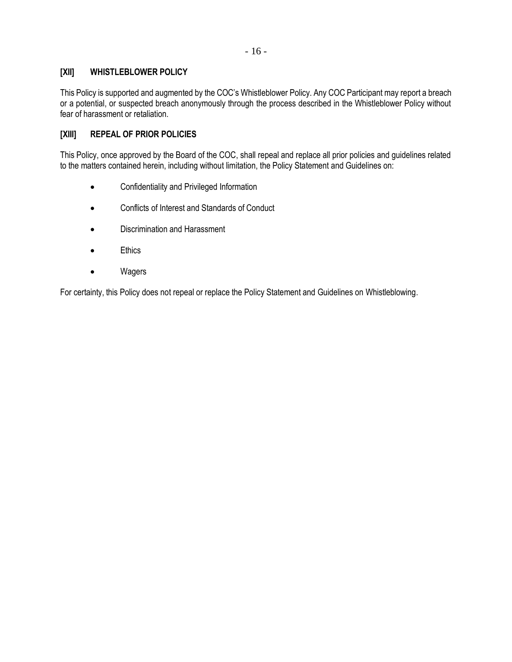### <span id="page-19-0"></span>**[XII] WHISTLEBLOWER POLICY**

This Policy is supported and augmented by the COC's Whistleblower Policy. Any COC Participant may report a breach or a potential, or suspected breach anonymously through the process described in the Whistleblower Policy without fear of harassment or retaliation.

## <span id="page-19-1"></span>**[XIII] REPEAL OF PRIOR POLICIES**

This Policy, once approved by the Board of the COC, shall repeal and replace all prior policies and guidelines related to the matters contained herein, including without limitation, the Policy Statement and Guidelines on:

- Confidentiality and Privileged Information
- Conflicts of Interest and Standards of Conduct
- Discrimination and Harassment
- Ethics
- Wagers

For certainty, this Policy does not repeal or replace the Policy Statement and Guidelines on Whistleblowing.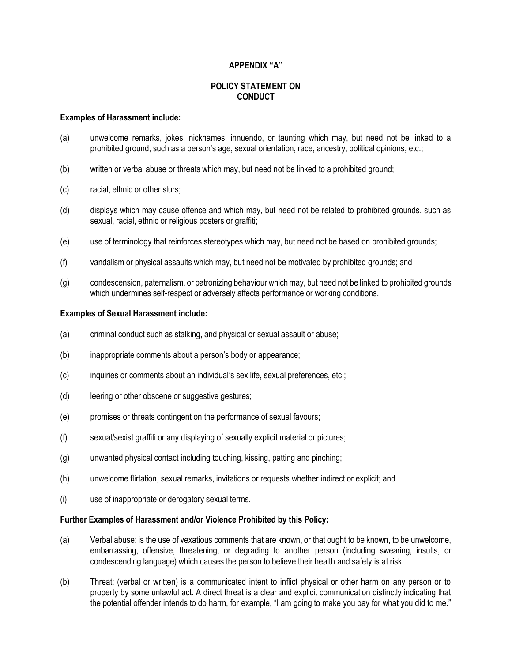### **APPENDIX "A"**

### **POLICY STATEMENT ON CONDUCT**

#### <span id="page-20-1"></span><span id="page-20-0"></span>**Examples of Harassment include:**

- (a) unwelcome remarks, jokes, nicknames, innuendo, or taunting which may, but need not be linked to a prohibited ground, such as a person's age, sexual orientation, race, ancestry, political opinions, etc.;
- (b) written or verbal abuse or threats which may, but need not be linked to a prohibited ground;
- (c) racial, ethnic or other slurs;
- (d) displays which may cause offence and which may, but need not be related to prohibited grounds, such as sexual, racial, ethnic or religious posters or graffiti;
- (e) use of terminology that reinforces stereotypes which may, but need not be based on prohibited grounds;
- (f) vandalism or physical assaults which may, but need not be motivated by prohibited grounds; and
- (g) condescension, paternalism, or patronizing behaviour which may, but need not be linked to prohibited grounds which undermines self-respect or adversely affects performance or working conditions.

### <span id="page-20-2"></span>**Examples of Sexual Harassment include:**

- (a) criminal conduct such as stalking, and physical or sexual assault or abuse;
- (b) inappropriate comments about a person's body or appearance;
- (c) inquiries or comments about an individual's sex life, sexual preferences, etc.;
- (d) leering or other obscene or suggestive gestures;
- (e) promises or threats contingent on the performance of sexual favours;
- (f) sexual/sexist graffiti or any displaying of sexually explicit material or pictures;
- (g) unwanted physical contact including touching, kissing, patting and pinching;
- (h) unwelcome flirtation, sexual remarks, invitations or requests whether indirect or explicit; and
- (i) use of inappropriate or derogatory sexual terms.

### <span id="page-20-3"></span>**Further Examples of Harassment and/or Violence Prohibited by this Policy:**

- (a) Verbal abuse: is the use of vexatious comments that are known, or that ought to be known, to be unwelcome, embarrassing, offensive, threatening, or degrading to another person (including swearing, insults, or condescending language) which causes the person to believe their health and safety is at risk.
- (b) Threat: (verbal or written) is a communicated intent to inflict physical or other harm on any person or to property by some unlawful act. A direct threat is a clear and explicit communication distinctly indicating that the potential offender intends to do harm, for example, "I am going to make you pay for what you did to me."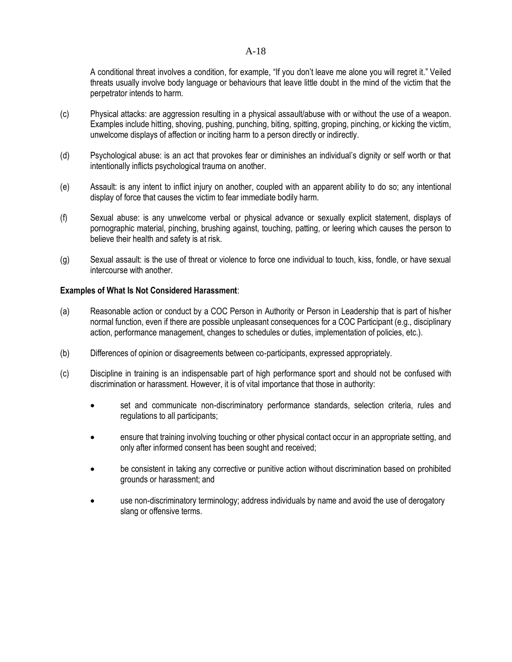### [A-](#page-20-0)18

A conditional threat involves a condition, for example, "If you don't leave me alone you will regret it." Veiled threats usually involve body language or behaviours that leave little doubt in the mind of the victim that the perpetrator intends to harm.

- (c) Physical attacks: are aggression resulting in a physical assault/abuse with or without the use of a weapon. Examples include hitting, shoving, pushing, punching, biting, spitting, groping, pinching, or kicking the victim, unwelcome displays of affection or inciting harm to a person directly or indirectly.
- (d) Psychological abuse: is an act that provokes fear or diminishes an individual's dignity or self worth or that intentionally inflicts psychological trauma on another.
- (e) Assault: is any intent to inflict injury on another, coupled with an apparent ability to do so; any intentional display of force that causes the victim to fear immediate bodily harm.
- (f) Sexual abuse: is any unwelcome verbal or physical advance or sexually explicit statement, displays of pornographic material, pinching, brushing against, touching, patting, or leering which causes the person to believe their health and safety is at risk.
- (g) Sexual assault: is the use of threat or violence to force one individual to touch, kiss, fondle, or have sexual intercourse with another.

### <span id="page-21-0"></span>**Examples of What Is Not Considered Harassment**:

- (a) Reasonable action or conduct by a COC Person in Authority or Person in Leadership that is part of his/her normal function, even if there are possible unpleasant consequences for a COC Participant (e.g., disciplinary action, performance management, changes to schedules or duties, implementation of policies, etc.).
- (b) Differences of opinion or disagreements between co-participants, expressed appropriately.
- (c) Discipline in training is an indispensable part of high performance sport and should not be confused with discrimination or harassment. However, it is of vital importance that those in authority:
	- set and communicate non-discriminatory performance standards, selection criteria, rules and regulations to all participants;
	- ensure that training involving touching or other physical contact occur in an appropriate setting, and only after informed consent has been sought and received;
	- be consistent in taking any corrective or punitive action without discrimination based on prohibited grounds or harassment; and
	- use non-discriminatory terminology; address individuals by name and avoid the use of derogatory slang or offensive terms.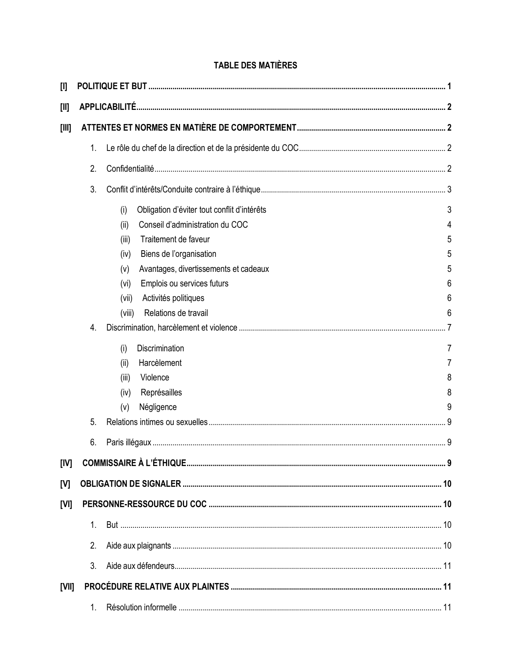## **TABLE DES MATIÈRES**

| $[1]$   |             |                                                    |   |
|---------|-------------|----------------------------------------------------|---|
| $[1]$   |             |                                                    |   |
| $[III]$ |             |                                                    |   |
|         | 1.          |                                                    |   |
|         | 2.          |                                                    |   |
|         | 3.          |                                                    |   |
|         |             | (i)<br>Obligation d'éviter tout conflit d'intérêts | 3 |
|         |             | Conseil d'administration du COC<br>(ii)            | 4 |
|         |             | Traitement de faveur<br>(iii)                      | 5 |
|         |             | Biens de l'organisation<br>(iv)                    | 5 |
|         |             | Avantages, divertissements et cadeaux<br>(v)       | 5 |
|         |             | Emplois ou services futurs<br>(vi)                 | 6 |
|         |             | Activités politiques<br>(vii)                      | 6 |
|         |             | Relations de travail<br>(viii)                     | 6 |
|         | 4.          |                                                    |   |
|         |             | Discrimination<br>(i)                              | 7 |
|         |             | Harcèlement<br>(ii)                                | 7 |
|         |             | Violence<br>(iii)                                  | 8 |
|         |             | Représailles<br>(iv)                               | 8 |
|         |             | Négligence<br>(v)                                  | 9 |
|         | 5.          |                                                    |   |
|         | 6.          |                                                    |   |
| [IV]    |             |                                                    |   |
| [V]     |             |                                                    |   |
| [V]     |             |                                                    |   |
|         | $1_{\cdot}$ |                                                    |   |
|         |             |                                                    |   |
|         | 2.          |                                                    |   |
|         | 3.          |                                                    |   |
| [VII]   |             |                                                    |   |
|         | 1.          |                                                    |   |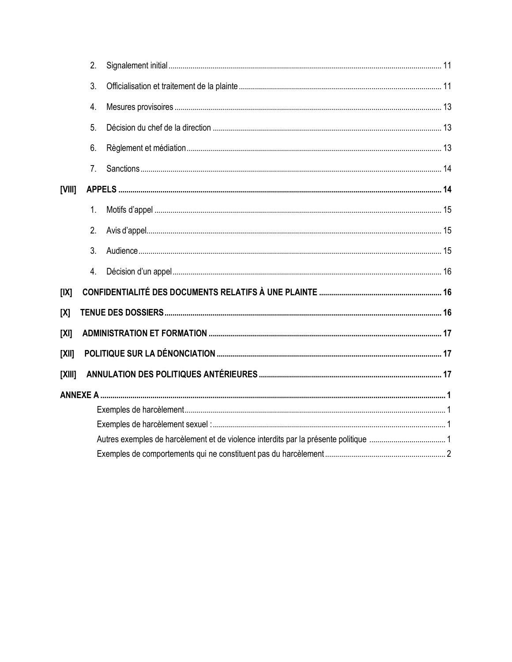|          | 2.               |  |
|----------|------------------|--|
|          | 3.               |  |
|          | 4.               |  |
|          | 5.               |  |
|          | 6.               |  |
|          | 7.               |  |
| [VIII]   |                  |  |
|          | 1.               |  |
|          | 2.               |  |
|          | 3.               |  |
|          | $\overline{4}$ . |  |
| [IX]     |                  |  |
| [X]      |                  |  |
| [X]      |                  |  |
| $[X$ II] |                  |  |
| [X  ]    |                  |  |
|          |                  |  |
|          |                  |  |
|          |                  |  |
|          |                  |  |
|          |                  |  |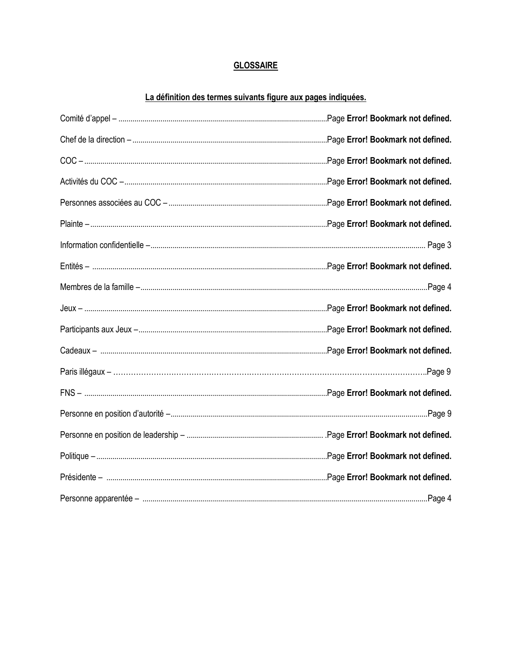### **GLOSSAIRE**

### La définition des termes suivants figure aux pages indiquées.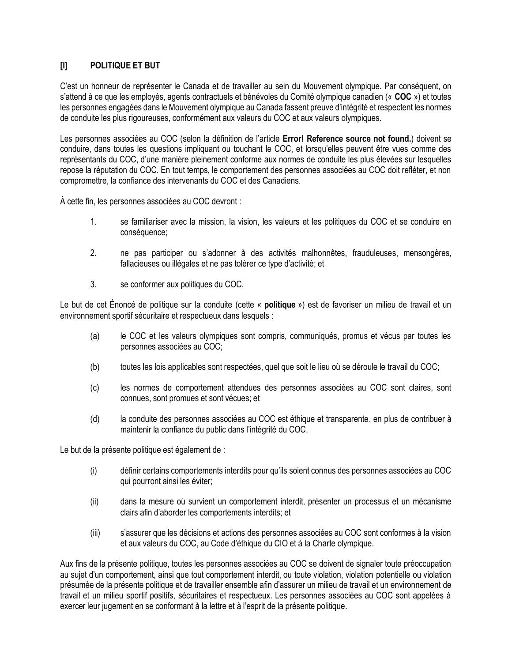### **[I] POLITIQUE ET BUT**

C'est un honneur de représenter le Canada et de travailler au sein du Mouvement olympique. Par conséquent, on s'attend à ce que les employés, agents contractuels et bénévoles du Comité olympique canadien (« **COC** ») et toutes les personnes engagées dans le Mouvement olympique au Canada fassent preuve d'intégrité et respectent les normes de conduite les plus rigoureuses, conformément aux valeurs du COC et aux valeurs olympiques.

Les personnes associées au COC (selon la définition de l'article **Error! Reference source not found.**) doivent se conduire, dans toutes les questions impliquant ou touchant le COC, et lorsqu'elles peuvent être vues comme des représentants du COC, d'une manière pleinement conforme aux normes de conduite les plus élevées sur lesquelles repose la réputation du COC. En tout temps, le comportement des personnes associées au COC doit refléter, et non compromettre, la confiance des intervenants du COC et des Canadiens.

À cette fin, les personnes associées au COC devront :

- 1. se familiariser avec la mission, la vision, les valeurs et les politiques du COC et se conduire en conséquence;
- 2. ne pas participer ou s'adonner à des activités malhonnêtes, frauduleuses, mensongères, fallacieuses ou illégales et ne pas tolérer ce type d'activité; et
- 3. se conformer aux politiques du COC.

Le but de cet Énoncé de politique sur la conduite (cette « **politique** ») est de favoriser un milieu de travail et un environnement sportif sécuritaire et respectueux dans lesquels :

- (a) le COC et les valeurs olympiques sont compris, communiqués, promus et vécus par toutes les personnes associées au COC;
- (b) toutes les lois applicables sont respectées, quel que soit le lieu où se déroule le travail du COC;
- (c) les normes de comportement attendues des personnes associées au COC sont claires, sont connues, sont promues et sont vécues; et
- (d) la conduite des personnes associées au COC est éthique et transparente, en plus de contribuer à maintenir la confiance du public dans l'intégrité du COC.

Le but de la présente politique est également de :

- (i) définir certains comportements interdits pour qu'ils soient connus des personnes associées au COC qui pourront ainsi les éviter;
- (ii) dans la mesure où survient un comportement interdit, présenter un processus et un mécanisme clairs afin d'aborder les comportements interdits; et
- (iii) s'assurer que les décisions et actions des personnes associées au COC sont conformes à la vision et aux valeurs du COC, au Code d'éthique du CIO et à la Charte olympique.

Aux fins de la présente politique, toutes les personnes associées au COC se doivent de signaler toute préoccupation au sujet d'un comportement, ainsi que tout comportement interdit, ou toute violation, violation potentielle ou violation présumée de la présente politique et de travailler ensemble afin d'assurer un milieu de travail et un environnement de travail et un milieu sportif positifs, sécuritaires et respectueux. Les personnes associées au COC sont appelées à exercer leur jugement en se conformant à la lettre et à l'esprit de la présente politique.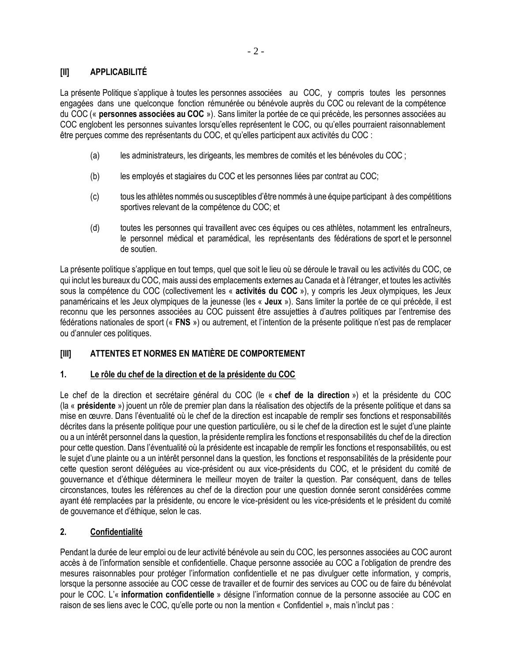### **[II] APPLICABILITÉ**

La présente Politique s'applique à toutes les personnes associées au COC, y compris toutes les personnes engagées dans une quelconque fonction rémunérée ou bénévole auprès du COC ou relevant de la compétence du COC (« **personnes associées au COC** »). Sans limiter la portée de ce qui précède, les personnes associées au COC englobent les personnes suivantes lorsqu'elles représentent le COC, ou qu'elles pourraient raisonnablement être perçues comme des représentants du COC, et qu'elles participent aux activités du COC :

- (a) les administrateurs, les dirigeants, les membres de comités et les bénévoles du COC ;
- (b) les employés et stagiaires du COC et les personnes liées par contrat au COC;
- (c) tous les athlètes nommés ou susceptibles d'être nommés à une équipe participant à des compétitions sportives relevant de la compétence du COC; et
- (d) toutes les personnes qui travaillent avec ces équipes ou ces athlètes, notamment les entraîneurs, le personnel médical et paramédical, les représentants des fédérations de sport et le personnel de soutien.

La présente politique s'applique en tout temps, quel que soit le lieu où se déroule le travail ou les activités du COC, ce qui inclut les bureaux du COC, mais aussi des emplacements externes au Canada et à l'étranger, et toutes les activités sous la compétence du COC (collectivement les « **activités du COC** »), y compris les Jeux olympiques, les Jeux panaméricains et les Jeux olympiques de la jeunesse (les « **Jeux** »). Sans limiter la portée de ce qui précède, il est reconnu que les personnes associées au COC puissent être assujetties à d'autres politiques par l'entremise des fédérations nationales de sport (« **FNS** ») ou autrement, et l'intention de la présente politique n'est pas de remplacer ou d'annuler ces politiques.

### **[III] ATTENTES ET NORMES EN MATIÈRE DE COMPORTEMENT**

### **1. Le rôle du chef de la direction et de la présidente du COC**

Le chef de la direction et secrétaire général du COC (le « **chef de la direction** ») et la présidente du COC (la « **présidente** ») jouent un rôle de premier plan dans la réalisation des objectifs de la présente politique et dans sa mise en œuvre. Dans l'éventualité où le chef de la direction est incapable de remplir ses fonctions et responsabilités décrites dans la présente politique pour une question particulière, ou si le chef de la direction est le sujet d'une plainte ou a un intérêt personnel dans la question, la présidente remplira les fonctions et responsabilités du chef de la direction pour cette question. Dans l'éventualité où la présidente est incapable de remplir les fonctions et responsabilités, ou est le sujet d'une plainte ou a un intérêt personnel dans la question, les fonctions et responsabilités de la présidente pour cette question seront déléguées au vice-président ou aux vice-présidents du COC, et le président du comité de gouvernance et d'éthique déterminera le meilleur moyen de traiter la question. Par conséquent, dans de telles circonstances, toutes les références au chef de la direction pour une question donnée seront considérées comme ayant été remplacées par la présidente, ou encore le vice-président ou les vice-présidents et le président du comité de gouvernance et d'éthique, selon le cas.

### **2. Confidentialité**

Pendant la durée de leur emploi ou de leur activité bénévole au sein du COC, les personnes associées au COC auront accès à de l'information sensible et confidentielle. Chaque personne associée au COC a l'obligation de prendre des mesures raisonnables pour protéger l'information confidentielle et ne pas divulguer cette information, y compris, lorsque la personne associée au COC cesse de travailler et de fournir des services au COC ou de faire du bénévolat pour le COC. L'« **information confidentielle** » désigne l'information connue de la personne associée au COC en raison de ses liens avec le COC, qu'elle porte ou non la mention « Confidentiel », mais n'inclut pas :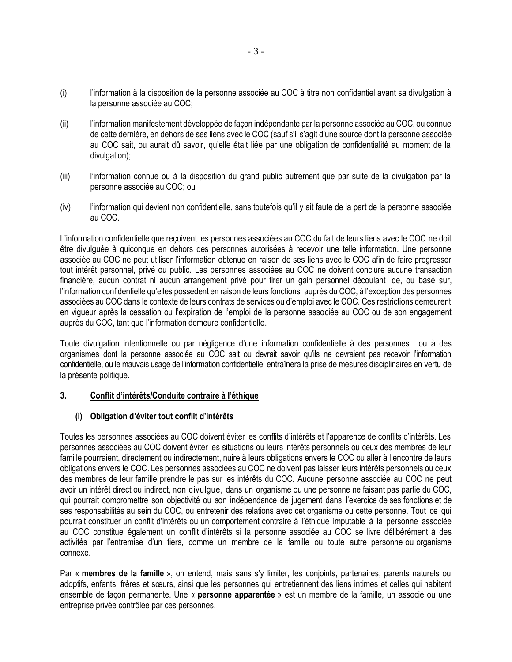- (i) l'information à la disposition de la personne associée au COC à titre non confidentiel avant sa divulgation à la personne associée au COC;
- (ii) l'information manifestement développée de façon indépendante par la personne associée au COC, ou connue de cette dernière, en dehors de ses liens avec le COC (sauf s'il s'agit d'une source dont la personne associée au COC sait, ou aurait dû savoir, qu'elle était liée par une obligation de confidentialité au moment de la divulgation);
- (iii) l'information connue ou à la disposition du grand public autrement que par suite de la divulgation par la personne associée au COC; ou
- (iv) l'information qui devient non confidentielle, sans toutefois qu'il y ait faute de la part de la personne associée au COC.

L'information confidentielle que reçoivent les personnes associées au COC du fait de leurs liens avec le COC ne doit être divulguée à quiconque en dehors des personnes autorisées à recevoir une telle information. Une personne associée au COC ne peut utiliser l'information obtenue en raison de ses liens avec le COC afin de faire progresser tout intérêt personnel, privé ou public. Les personnes associées au COC ne doivent conclure aucune transaction financière, aucun contrat ni aucun arrangement privé pour tirer un gain personnel découlant de, ou basé sur, l'information confidentielle qu'elles possèdent en raison de leurs fonctions auprès du COC, à l'exception des personnes associées au COC dans le contexte de leurs contrats de services ou d'emploi avec le COC. Ces restrictions demeurent en vigueur après la cessation ou l'expiration de l'emploi de la personne associée au COC ou de son engagement auprès du COC, tant que l'information demeure confidentielle.

Toute divulgation intentionnelle ou par négligence d'une information confidentielle à des personnes ou à des organismes dont la personne associée au COC sait ou devrait savoir qu'ils ne devraient pas recevoir l'information confidentielle, ou le mauvais usage de l'information confidentielle, entraînera la prise de mesures disciplinaires en vertu de la présente politique.

### **3. Conflit d'intérêts/Conduite contraire à l'éthique**

### **(i) Obligation d'éviter tout conflit d'intérêts**

Toutes les personnes associées au COC doivent éviter les conflits d'intérêts et l'apparence de conflits d'intérêts. Les personnes associées au COC doivent éviter les situations ou leurs intérêts personnels ou ceux des membres de leur famille pourraient, directement ou indirectement, nuire à leurs obligations envers le COC ou aller à l'encontre de leurs obligations envers le COC. Les personnes associées au COC ne doivent pas laisser leurs intérêts personnels ou ceux des membres de leur famille prendre le pas sur les intérêts du COC. Aucune personne associée au COC ne peut avoir un intérêt direct ou indirect, non divulgué, dans un organisme ou une personne ne faisant pas partie du COC, qui pourrait compromettre son objectivité ou son indépendance de jugement dans l'exercice de ses fonctions et de ses responsabilités au sein du COC, ou entretenir des relations avec cet organisme ou cette personne. Tout ce qui pourrait constituer un conflit d'intérêts ou un comportement contraire à l'éthique imputable à la personne associée au COC constitue également un conflit d'intérêts si la personne associée au COC se livre délibérément à des activités par l'entremise d'un tiers, comme un membre de la famille ou toute autre personne ou organisme connexe.

Par « **membres de la famille** », on entend, mais sans s'y limiter, les conjoints, partenaires, parents naturels ou adoptifs, enfants, frères et sœurs, ainsi que les personnes qui entretiennent des liens intimes et celles qui habitent ensemble de façon permanente. Une « **personne apparentée** » est un membre de la famille, un associé ou une entreprise privée contrôlée par ces personnes.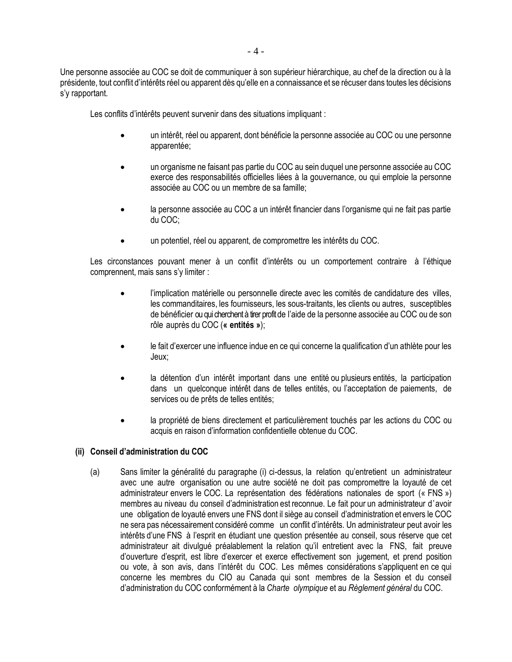Une personne associée au COC se doit de communiquer à son supérieur hiérarchique, au chef de la direction ou à la présidente, tout conflit d'intérêts réel ou apparent dès qu'elle en a connaissance et se récuser dans toutes les décisions s'y rapportant.

Les conflits d'intérêts peuvent survenir dans des situations impliquant :

- un intérêt, réel ou apparent, dont bénéficie la personne associée au COC ou une personne apparentée;
- un organisme ne faisant pas partie du COC au sein duquel une personne associée au COC exerce des responsabilités officielles liées à la gouvernance, ou qui emploie la personne associée au COC ou un membre de sa famille;
- la personne associée au COC a un intérêt financier dans l'organisme qui ne fait pas partie du COC;
- un potentiel, réel ou apparent, de compromettre les intérêts du COC.

Les circonstances pouvant mener à un conflit d'intérêts ou un comportement contraire à l'éthique comprennent, mais sans s'y limiter :

- l'implication matérielle ou personnelle directe avec les comités de candidature des villes, les commanditaires, les fournisseurs, les sous-traitants, les clients ou autres, susceptibles de bénéficier ou qui cherchent à tirer profit de l'aide de la personne associée au COC ou de son rôle auprès du COC (**« entités »**);
- le fait d'exercer une influence indue en ce qui concerne la qualification d'un athlète pour les Jeux;
- la détention d'un intérêt important dans une entité ou plusieurs entités, la participation dans un quelconque intérêt dans de telles entités, ou l'acceptation de paiements, de services ou de prêts de telles entités;
- la propriété de biens directement et particulièrement touchés par les actions du COC ou acquis en raison d'information confidentielle obtenue du COC.

### **(ii) Conseil d'administration du COC**

(a) Sans limiter la généralité du paragraphe (i) ci-dessus, la relation qu'entretient un administrateur avec une autre organisation ou une autre société ne doit pas compromettre la loyauté de cet administrateur envers le COC. La représentation des fédérations nationales de sport (« FNS ») membres au niveau du conseil d'administration est reconnue. Le fait pour un administrateur d'avoir une obligation de loyauté envers une FNS dont il siège au conseil d'administration et envers le COC ne sera pas nécessairement considéré comme un conflit d'intérêts. Un administrateur peut avoir les intérêts d'une FNS à l'esprit en étudiant une question présentée au conseil, sous réserve que cet administrateur ait divulgué préalablement la relation qu'il entretient avec la FNS, fait preuve d'ouverture d'esprit, est libre d'exercer et exerce effectivement son jugement, et prend position ou vote, à son avis, dans l'intérêt du COC. Les mêmes considérations s'appliquent en ce qui concerne les membres du CIO au Canada qui sont membres de la Session et du conseil d'administration du COC conformément à la *Charte olympique* et au *Règlement général* du COC.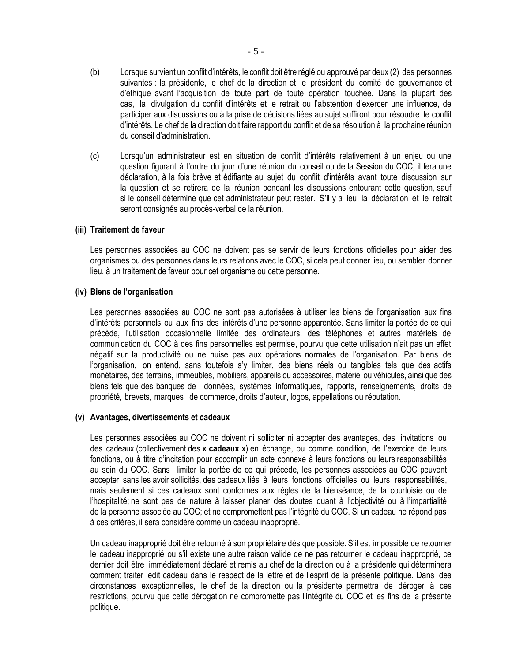- (b) Lorsque survient un conflit d'intérêts, le conflit doit être réglé ou approuvé par deux (2) des personnes suivantes : la présidente, le chef de la direction et le président du comité de gouvernance et d'éthique avant l'acquisition de toute part de toute opération touchée. Dans la plupart des cas, la divulgation du conflit d'intérêts et le retrait ou l'abstention d'exercer une influence, de participer aux discussions ou à la prise de décisions liées au sujet suffiront pour résoudre le conflit d'intérêts. Le chef de la direction doit faire rapport du conflit et de sa résolution à la prochaine réunion du conseil d'administration.
- (c) Lorsqu'un administrateur est en situation de conflit d'intérêts relativement à un enjeu ou une question figurant à l'ordre du jour d'une réunion du conseil ou de la Session du COC, il fera une déclaration, à la fois brève et édifiante au sujet du conflit d'intérêts avant toute discussion sur la question et se retirera de la réunion pendant les discussions entourant cette question, sauf si le conseil détermine que cet administrateur peut rester. S'il y a lieu, la déclaration et le retrait seront consignés au procès-verbal de la réunion.

#### **(iii) Traitement de faveur**

Les personnes associées au COC ne doivent pas se servir de leurs fonctions officielles pour aider des organismes ou des personnes dans leurs relations avec le COC, si cela peut donner lieu, ou sembler donner lieu, à un traitement de faveur pour cet organisme ou cette personne.

#### **(iv) Biens de l'organisation**

Les personnes associées au COC ne sont pas autorisées à utiliser les biens de l'organisation aux fins d'intérêts personnels ou aux fins des intérêts d'une personne apparentée. Sans limiter la portée de ce qui précède, l'utilisation occasionnelle limitée des ordinateurs, des téléphones et autres matériels de communication du COC à des fins personnelles est permise, pourvu que cette utilisation n'ait pas un effet négatif sur la productivité ou ne nuise pas aux opérations normales de l'organisation. Par biens de l'organisation, on entend, sans toutefois s'y limiter, des biens réels ou tangibles tels que des actifs monétaires, des terrains, immeubles, mobiliers, appareils ou accessoires, matériel ou véhicules, ainsi que des biens tels que des banques de données, systèmes informatiques, rapports, renseignements, droits de propriété, brevets, marques de commerce, droits d'auteur, logos, appellations ou réputation.

#### **(v) Avantages, divertissements et cadeaux**

Les personnes associées au COC ne doivent ni solliciter ni accepter des avantages, des invitations ou des cadeaux (collectivement des **« cadeaux »**) en échange, ou comme condition, de l'exercice de leurs fonctions, ou à titre d'incitation pour accomplir un acte connexe à leurs fonctions ou leurs responsabilités au sein du COC. Sans limiter la portée de ce qui précède, les personnes associées au COC peuvent accepter, sans les avoir sollicités, des cadeaux liés à leurs fonctions officielles ou leurs responsabilités, mais seulement si ces cadeaux sont conformes aux règles de la bienséance, de la courtoisie ou de l'hospitalité; ne sont pas de nature à laisser planer des doutes quant à l'objectivité ou à l'impartialité de la personne associée au COC; et ne compromettent pas l'intégrité du COC. Si un cadeau ne répond pas à ces critères, il sera considéré comme un cadeau inapproprié.

Un cadeau inapproprié doit être retourné à son propriétaire dès que possible. S'il est impossible de retourner le cadeau inapproprié ou s'il existe une autre raison valide de ne pas retourner le cadeau inapproprié, ce dernier doit être immédiatement déclaré et remis au chef de la direction ou à la présidente qui déterminera comment traiter ledit cadeau dans le respect de la lettre et de l'esprit de la présente politique. Dans des circonstances exceptionnelles, le chef de la direction ou la présidente permettra de déroger à ces restrictions, pourvu que cette dérogation ne compromette pas l'intégrité du COC et les fins de la présente politique.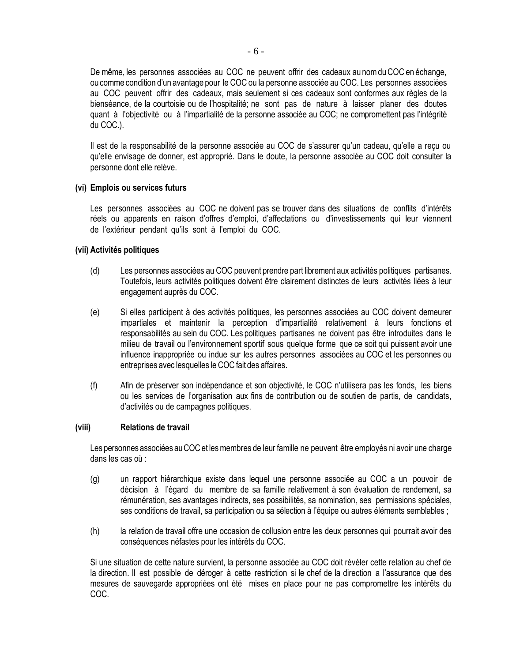De même, les personnes associées au COC ne peuvent offrir des cadeaux au nom du COC en échange, oucomme condition d'un avantage pour le COC ou la personne associée au COC. Les personnes associées au COC peuvent offrir des cadeaux, mais seulement si ces cadeaux sont conformes aux règles de la bienséance, de la courtoisie ou de l'hospitalité; ne sont pas de nature à laisser planer des doutes quant à l'objectivité ou à l'impartialité de la personne associée au COC; ne compromettent pas l'intégrité du COC.).

Il est de la responsabilité de la personne associée au COC de s'assurer qu'un cadeau, qu'elle a reçu ou qu'elle envisage de donner, est approprié. Dans le doute, la personne associée au COC doit consulter la personne dont elle relève.

#### **(vi) Emplois ou services futurs**

Les personnes associées au COC ne doivent pas se trouver dans des situations de conflits d'intérêts réels ou apparents en raison d'offres d'emploi, d'affectations ou d'investissements qui leur viennent de l'extérieur pendant qu'ils sont à l'emploi du COC.

#### **(vii) Activités politiques**

- (d) Les personnes associées au COC peuvent prendre part librement aux activités politiques partisanes. Toutefois, leurs activités politiques doivent être clairement distinctes de leurs activités liées à leur engagement auprès du COC.
- (e) Si elles participent à des activités politiques, les personnes associées au COC doivent demeurer impartiales et maintenir la perception d'impartialité relativement à leurs fonctions et responsabilités au sein du COC. Les politiques partisanes ne doivent pas être introduites dans le milieu de travail ou l'environnement sportif sous quelque forme que ce soit qui puissent avoir une influence inappropriée ou indue sur les autres personnes associées au COC et les personnes ou entreprises avec lesquelles le COC fait des affaires.
- (f) Afin de préserver son indépendance et son objectivité, le COC n'utilisera pas les fonds, les biens ou les services de l'organisation aux fins de contribution ou de soutien de partis, de candidats, d'activités ou de campagnes politiques.

#### **(viii) Relations de travail**

Les personnes associées auCOCet lesmembres de leur famille ne peuvent être employés ni avoir une charge dans les cas où :

- (g) un rapport hiérarchique existe dans lequel une personne associée au COC a un pouvoir de décision à l'égard du membre de sa famille relativement à son évaluation de rendement, sa rémunération, ses avantages indirects, ses possibilités, sa nomination, ses permissions spéciales, ses conditions de travail, sa participation ou sa sélection à l'équipe ou autres éléments semblables ;
- (h) la relation de travail offre une occasion de collusion entre les deux personnes qui pourrait avoir des conséquences néfastes pour les intérêts du COC.

Si une situation de cette nature survient, la personne associée au COC doit révéler cette relation au chef de la direction. Il est possible de déroger à cette restriction si le chef de la direction a l'assurance que des mesures de sauvegarde appropriées ont été mises en place pour ne pas compromettre les intérêts du COC.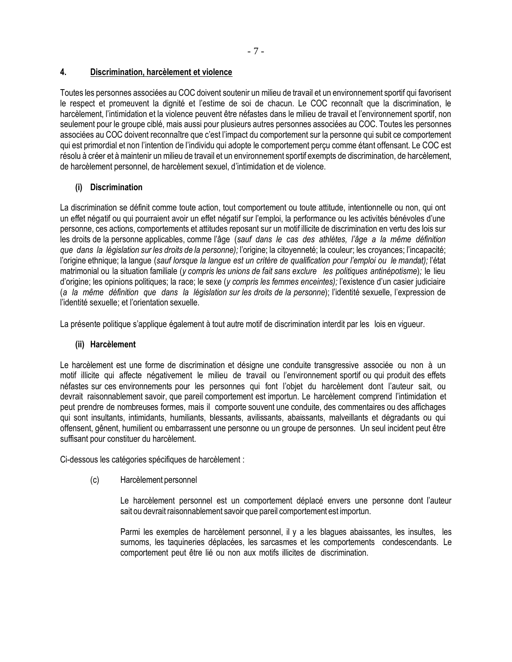### **4. Discrimination, harcèlement et violence**

Toutes les personnes associées au COC doivent soutenir un milieu de travail et un environnement sportif qui favorisent le respect et promeuvent la dignité et l'estime de soi de chacun. Le COC reconnaît que la discrimination, le harcèlement, l'intimidation et la violence peuvent être néfastes dans le milieu de travail et l'environnement sportif, non seulement pour le groupe ciblé, mais aussi pour plusieurs autres personnes associées au COC. Toutes les personnes associées au COC doivent reconnaître que c'est l'impact du comportement sur la personne qui subit ce comportement qui est primordial et non l'intention de l'individu qui adopte le comportement perçu comme étant offensant. Le COC est résolu à créer et à maintenir un milieu de travail et un environnement sportif exempts de discrimination, de harcèlement, de harcèlement personnel, de harcèlement sexuel, d'intimidation et de violence.

### **(i) Discrimination**

La discrimination se définit comme toute action, tout comportement ou toute attitude, intentionnelle ou non, qui ont un effet négatif ou qui pourraient avoir un effet négatif sur l'emploi, la performance ou les activités bénévoles d'une personne, ces actions, comportements et attitudes reposant sur un motif illicite de discrimination en vertu des lois sur les droits de la personne applicables, comme l'âge (*sauf dans le cas des athlètes, l'âge a la même définition que dans la législation sur les droits de la personne);* l'origine; la citoyenneté; la couleur; les croyances; l'incapacité; l'origine ethnique; la langue (*sauf lorsque la langue est un critère de qualification pour l'emploi ou le mandat);* l'état matrimonial ou la situation familiale (*y compris les unions de fait sans exclure les politiques antinépotisme*)*;* le lieu d'origine; les opinions politiques; la race; le sexe (*y compris les femmes enceintes);* l'existence d'un casier judiciaire (*a la même définition que dans la législation sur les droits de la personne*); l'identité sexuelle, l'expression de l'identité sexuelle; et l'orientation sexuelle.

La présente politique s'applique également à tout autre motif de discrimination interdit par les lois en vigueur.

### **(ii) Harcèlement**

Le harcèlement est une forme de discrimination et désigne une conduite transgressive associée ou non à un motif illicite qui affecte négativement le milieu de travail ou l'environnement sportif ou qui produit des effets néfastes sur ces environnements pour les personnes qui font l'objet du harcèlement dont l'auteur sait, ou devrait raisonnablement savoir, que pareil comportement est importun. Le harcèlement comprend l'intimidation et peut prendre de nombreuses formes, mais il comporte souvent une conduite, des commentaires ou des affichages qui sont insultants, intimidants, humiliants, blessants, avilissants, abaissants, malveillants et dégradants ou qui offensent, gênent, humilient ou embarrassent une personne ou un groupe de personnes. Un seul incident peut être suffisant pour constituer du harcèlement.

Ci-dessous les catégories spécifiques de harcèlement :

(c) Harcèlement personnel

Le harcèlement personnel est un comportement déplacé envers une personne dont l'auteur sait ou devrait raisonnablement savoir que pareil comportement est importun.

Parmi les exemples de harcèlement personnel, il y a les blagues abaissantes, les insultes, les surnoms, les taquineries déplacées, les sarcasmes et les comportements condescendants. Le comportement peut être lié ou non aux motifs illicites de discrimination.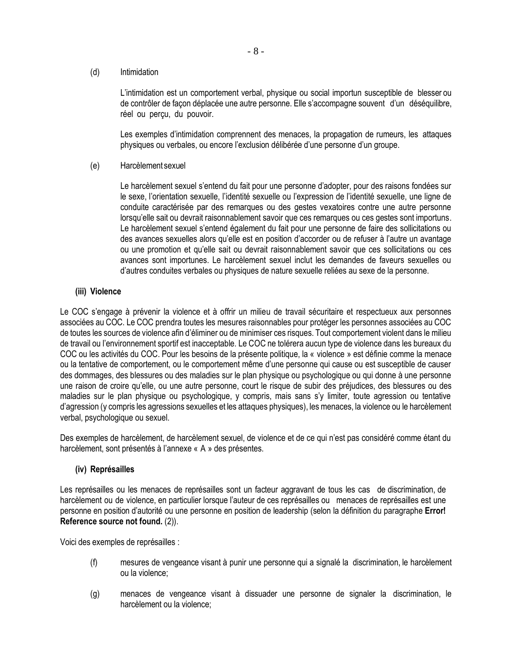(d) Intimidation

L'intimidation est un comportement verbal, physique ou social importun susceptible de blesser ou de contrôler de façon déplacée une autre personne. Elle s'accompagne souvent d'un déséquilibre, réel ou perçu, du pouvoir.

Les exemples d'intimidation comprennent des menaces, la propagation de rumeurs, les attaques physiques ou verbales, ou encore l'exclusion délibérée d'une personne d'un groupe.

(e) Harcèlement sexuel

Le harcèlement sexuel s'entend du fait pour une personne d'adopter, pour des raisons fondées sur le sexe, l'orientation sexuelle, l'identité sexuelle ou l'expression de l'identité sexuelle, une ligne de conduite caractérisée par des remarques ou des gestes vexatoires contre une autre personne lorsqu'elle sait ou devrait raisonnablement savoir que ces remarques ou ces gestes sont importuns. Le harcèlement sexuel s'entend également du fait pour une personne de faire des sollicitations ou des avances sexuelles alors qu'elle est en position d'accorder ou de refuser à l'autre un avantage ou une promotion et qu'elle sait ou devrait raisonnablement savoir que ces sollicitations ou ces avances sont importunes. Le harcèlement sexuel inclut les demandes de faveurs sexuelles ou d'autres conduites verbales ou physiques de nature sexuelle reliées au sexe de la personne.

### **(iii) Violence**

Le COC s'engage à prévenir la violence et à offrir un milieu de travail sécuritaire et respectueux aux personnes associées au COC. Le COC prendra toutes les mesures raisonnables pour protéger les personnes associées au COC de toutes les sources de violence afin d'éliminer ou de minimiser ces risques. Tout comportement violent dans le milieu de travail ou l'environnement sportif est inacceptable. Le COC ne tolérera aucun type de violence dans les bureaux du COC ou les activités du COC. Pour les besoins de la présente politique, la « violence » est définie comme la menace ou la tentative de comportement, ou le comportement même d'une personne qui cause ou est susceptible de causer des dommages, des blessures ou des maladies sur le plan physique ou psychologique ou qui donne à une personne une raison de croire qu'elle, ou une autre personne, court le risque de subir des préjudices, des blessures ou des maladies sur le plan physique ou psychologique, y compris, mais sans s'y limiter, toute agression ou tentative d'agression (y compris les agressions sexuelles et les attaques physiques), les menaces, la violence ou le harcèlement verbal, psychologique ou sexuel.

Des exemples de harcèlement, de harcèlement sexuel, de violence et de ce qui n'est pas considéré comme étant du harcèlement, sont présentés à l'annexe « A » des présentes.

### **(iv) Représailles**

Les représailles ou les menaces de représailles sont un facteur aggravant de tous les cas de discrimination, de harcèlement ou de violence, en particulier lorsque l'auteur de ces représailles ou menaces de représailles est une personne en position d'autorité ou une personne en position de leadership (selon la définition du paragraphe **Error! Reference source not found.** (2)).

Voici des exemples de représailles :

- (f) mesures de vengeance visant à punir une personne qui a signalé la discrimination, le harcèlement ou la violence;
- (g) menaces de vengeance visant à dissuader une personne de signaler la discrimination, le harcèlement ou la violence;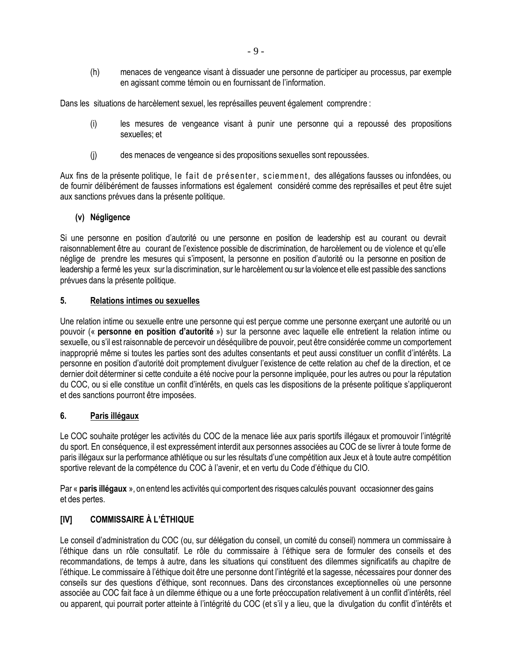(h) menaces de vengeance visant à dissuader une personne de participer au processus, par exemple en agissant comme témoin ou en fournissant de l'information.

Dans les situations de harcèlement sexuel, les représailles peuvent également comprendre :

- (i) les mesures de vengeance visant à punir une personne qui a repoussé des propositions sexuelles; et
- (j) des menaces de vengeance si des propositions sexuelles sont repoussées.

Aux fins de la présente politique, le fait de présenter , sciemment, des allégations fausses ou infondées, ou de fournir délibérément de fausses informations est également considéré comme des représailles et peut être sujet aux sanctions prévues dans la présente politique.

### **(v) Négligence**

Si une personne en position d'autorité ou une personne en position de leadership est au courant ou devrait raisonnablement être au courant de l'existence possible de discrimination, de harcèlement ou de violence et qu'elle néglige de prendre les mesures qui s'imposent, la personne en position d'autorité ou la personne en position de leadership a fermé les yeux sur la discrimination, sur le harcèlement ou sur la violence et elle est passible des sanctions prévues dans la présente politique.

### **5. Relations intimes ou sexuelles**

Une relation intime ou sexuelle entre une personne qui est perçue comme une personne exerçant une autorité ou un pouvoir (« **personne en position d'autorité** ») sur la personne avec laquelle elle entretient la relation intime ou sexuelle, ou s'il est raisonnable de percevoir un déséquilibre de pouvoir, peut être considérée comme un comportement inapproprié même si toutes les parties sont des adultes consentants et peut aussi constituer un conflit d'intérêts. La personne en position d'autorité doit promptement divulguer l'existence de cette relation au chef de la direction, et ce dernier doit déterminer si cette conduite a été nocive pour la personne impliquée, pour les autres ou pour la réputation du COC, ou si elle constitue un conflit d'intérêts, en quels cas les dispositions de la présente politique s'appliqueront et des sanctions pourront être imposées.

### **6. Paris illégaux**

Le COC souhaite protéger les activités du COC de la menace liée aux paris sportifs illégaux et promouvoir l'intégrité du sport. En conséquence, il est expressément interdit aux personnes associées au COC de se livrer à toute forme de paris illégaux sur la performance athlétique ou sur les résultats d'une compétition aux Jeux et à toute autre compétition sportive relevant de la compétence du COC à l'avenir, et en vertu du Code d'éthique du CIO.

Par « **paris illégaux** », on entend les activités qui comportent des risques calculés pouvant occasionner des gains et des pertes.

### **[IV] COMMISSAIRE À L'ÉTHIQUE**

Le conseil d'administration du COC (ou, sur délégation du conseil, un comité du conseil) nommera un commissaire à l'éthique dans un rôle consultatif. Le rôle du commissaire à l'éthique sera de formuler des conseils et des recommandations, de temps à autre, dans les situations qui constituent des dilemmes significatifs au chapitre de l'éthique. Le commissaire à l'éthique doit être une personne dont l'intégrité et la sagesse, nécessaires pour donner des conseils sur des questions d'éthique, sont reconnues. Dans des circonstances exceptionnelles où une personne associée au COC fait face à un dilemme éthique ou a une forte préoccupation relativement à un conflit d'intérêts, réel ou apparent, qui pourrait porter atteinte à l'intégrité du COC (et s'il y a lieu, que la divulgation du conflit d'intérêts et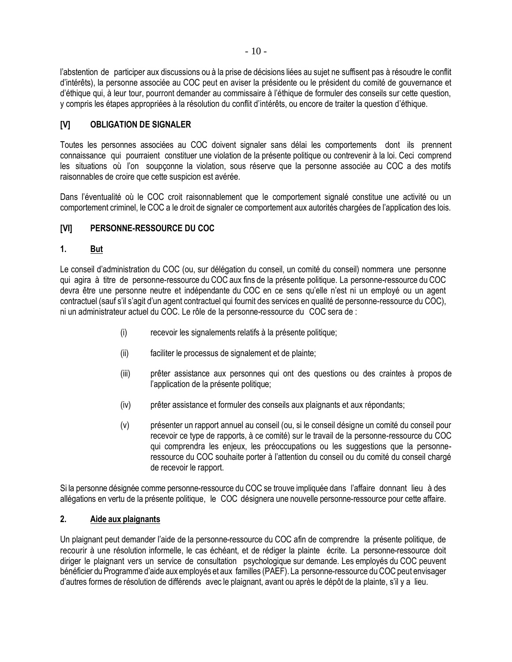l'abstention de participer aux discussions ou à la prise de décisions liées au sujet ne suffisent pas à résoudre le conflit d'intérêts), la personne associée au COC peut en aviser la présidente ou le président du comité de gouvernance et d'éthique qui, à leur tour, pourront demander au commissaire à l'éthique de formuler des conseils sur cette question, y compris les étapes appropriées à la résolution du conflit d'intérêts, ou encore de traiter la question d'éthique.

### **[V] OBLIGATION DE SIGNALER**

Toutes les personnes associées au COC doivent signaler sans délai les comportements dont ils prennent connaissance qui pourraient constituer une violation de la présente politique ou contrevenir à la loi. Ceci comprend les situations où l'on soupçonne la violation, sous réserve que la personne associée au COC a des motifs raisonnables de croire que cette suspicion est avérée.

Dans l'éventualité où le COC croit raisonnablement que le comportement signalé constitue une activité ou un comportement criminel, le COC a le droit de signaler ce comportement aux autorités chargées de l'application des lois.

### **[VI] PERSONNE-RESSOURCE DU COC**

### **1. But**

Le conseil d'administration du COC (ou, sur délégation du conseil, un comité du conseil) nommera une personne qui agira à titre de personne-ressource du COC aux fins de la présente politique. La personne-ressource du COC devra être une personne neutre et indépendante du COC en ce sens qu'elle n'est ni un employé ou un agent contractuel (sauf s'il s'agit d'un agent contractuel qui fournit des services en qualité de personne-ressource du COC), ni un administrateur actuel du COC. Le rôle de la personne-ressource du COC sera de :

- (i) recevoir les signalements relatifs à la présente politique;
- (ii) faciliter le processus de signalement et de plainte;
- (iii) prêter assistance aux personnes qui ont des questions ou des craintes à propos de l'application de la présente politique;
- (iv) prêter assistance et formuler des conseils aux plaignants et aux répondants;
- (v) présenter un rapport annuel au conseil (ou, si le conseil désigne un comité du conseil pour recevoir ce type de rapports, à ce comité) sur le travail de la personne-ressource du COC qui comprendra les enjeux, les préoccupations ou les suggestions que la personneressource du COC souhaite porter à l'attention du conseil ou du comité du conseil chargé de recevoir le rapport.

Si la personne désignée comme personne-ressource du COC se trouve impliquée dans l'affaire donnant lieu à des allégations en vertu de la présente politique, le COC désignera une nouvelle personne-ressource pour cette affaire.

### **2. Aide aux plaignants**

Un plaignant peut demander l'aide de la personne-ressource du COC afin de comprendre la présente politique, de recourir à une résolution informelle, le cas échéant, et de rédiger la plainte écrite. La personne-ressource doit diriger le plaignant vers un service de consultation psychologique sur demande. Les employés du COC peuvent bénéficier du Programme d'aide aux employés et aux familles (PAEF). La personne-ressource du COC peut envisager d'autres formes de résolution de différends avec le plaignant, avant ou après le dépôt de la plainte, s'il y a lieu.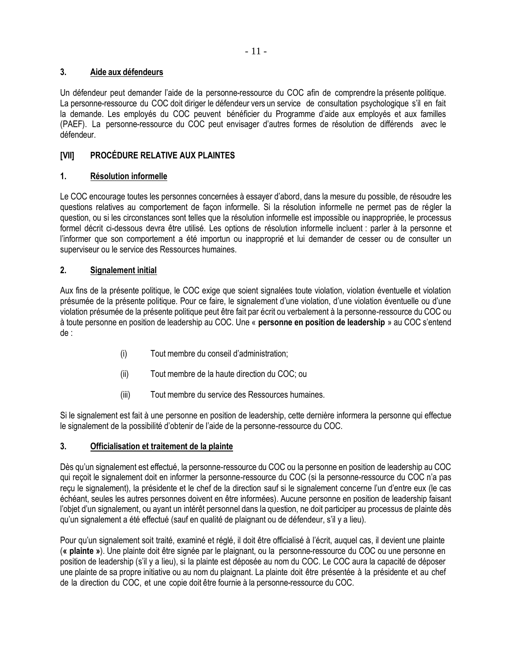### **3. Aide aux défendeurs**

Un défendeur peut demander l'aide de la personne-ressource du COC afin de comprendre la présente politique. La personne-ressource du COC doit diriger le défendeur vers un service de consultation psychologique s'il en fait la demande. Les employés du COC peuvent bénéficier du Programme d'aide aux employés et aux familles (PAEF). La personne-ressource du COC peut envisager d'autres formes de résolution de différends avec le défendeur.

### **[VII] PROCÉDURE RELATIVE AUX PLAINTES**

### **1. Résolution informelle**

Le COC encourage toutes les personnes concernées à essayer d'abord, dans la mesure du possible, de résoudre les questions relatives au comportement de façon informelle. Si la résolution informelle ne permet pas de régler la question, ou si les circonstances sont telles que la résolution informelle est impossible ou inappropriée, le processus formel décrit ci-dessous devra être utilisé. Les options de résolution informelle incluent : parler à la personne et l'informer que son comportement a été importun ou inapproprié et lui demander de cesser ou de consulter un superviseur ou le service des Ressources humaines.

### **2. Signalement initial**

Aux fins de la présente politique, le COC exige que soient signalées toute violation, violation éventuelle et violation présumée de la présente politique. Pour ce faire, le signalement d'une violation, d'une violation éventuelle ou d'une violation présumée de la présente politique peut être fait par écrit ou verbalement à la personne-ressource du COC ou à toute personne en position de leadership au COC. Une « **personne en position de leadership** » au COC s'entend de :

- (i) Tout membre du conseil d'administration;
- (ii) Tout membre de la haute direction du COC; ou
- (iii) Tout membre du service des Ressources humaines.

Si le signalement est fait à une personne en position de leadership, cette dernière informera la personne qui effectue le signalement de la possibilité d'obtenir de l'aide de la personne-ressource du COC.

### **3. Officialisation et traitement de la plainte**

Dès qu'un signalement est effectué, la personne-ressource du COC ou la personne en position de leadership au COC qui reçoit le signalement doit en informer la personne-ressource du COC (si la personne-ressource du COC n'a pas reçu le signalement), la présidente et le chef de la direction sauf si le signalement concerne l'un d'entre eux (le cas échéant, seules les autres personnes doivent en être informées). Aucune personne en position de leadership faisant l'objet d'un signalement, ou ayant un intérêt personnel dans la question, ne doit participer au processus de plainte dès qu'un signalement a été effectué (sauf en qualité de plaignant ou de défendeur, s'il y a lieu).

Pour qu'un signalement soit traité, examiné et réglé, il doit être officialisé à l'écrit, auquel cas, il devient une plainte (**« plainte »**). Une plainte doit être signée par le plaignant, ou la personne-ressource du COC ou une personne en position de leadership (s'il y a lieu), si Ia plainte est déposée au nom du COC. Le COC aura la capacité de déposer une plainte de sa propre initiative ou au nom du plaignant. La plainte doit être présentée à la présidente et au chef de la direction du COC, et une copie doit être fournie à la personne-ressource du COC.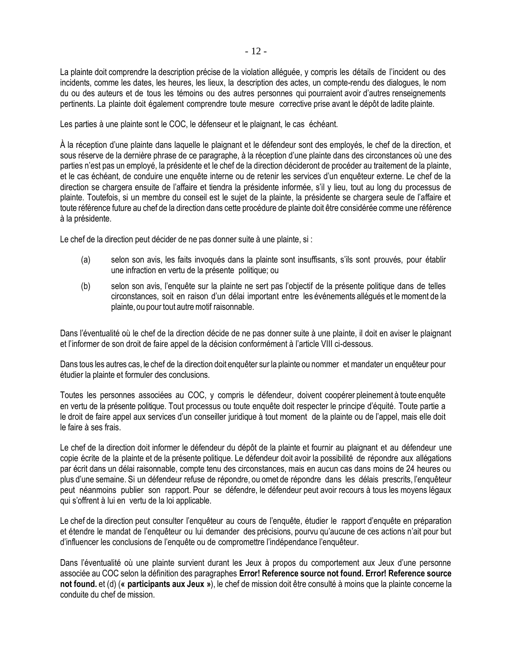La plainte doit comprendre la description précise de la violation alléguée, y compris les détails de l'incident ou des incidents, comme les dates, les heures, les lieux, la description des actes, un compte-rendu des dialogues, le nom du ou des auteurs et de tous les témoins ou des autres personnes qui pourraient avoir d'autres renseignements pertinents. La plainte doit également comprendre toute mesure corrective prise avant le dépôt de ladite plainte.

Les parties à une plainte sont le COC, le défenseur et le plaignant, le cas échéant.

À la réception d'une plainte dans laquelle le plaignant et le défendeur sont des employés, le chef de la direction, et sous réserve de la dernière phrase de ce paragraphe, à la réception d'une plainte dans des circonstances où une des parties n'est pas un employé, la présidente et le chef de la direction décideront de procéder au traitement de la plainte, et le cas échéant, de conduire une enquête interne ou de retenir les services d'un enquêteur externe. Le chef de la direction se chargera ensuite de l'affaire et tiendra la présidente informée, s'il y lieu, tout au long du processus de plainte. Toutefois, si un membre du conseil est le sujet de la plainte, la présidente se chargera seule de l'affaire et toute référence future au chef de la direction dans cette procédure de plainte doit être considérée comme une référence à la présidente.

Le chef de la direction peut décider de ne pas donner suite à une plainte, si :

- (a) selon son avis, les faits invoqués dans la plainte sont insuffisants, s'ils sont prouvés, pour établir une infraction en vertu de la présente politique; ou
- (b) selon son avis, l'enquête sur la plainte ne sert pas l'objectif de la présente politique dans de telles circonstances, soit en raison d'un délai important entre les événements allégués et le moment de la plainte, ou pour tout autremotif raisonnable.

Dans l'éventualité où le chef de la direction décide de ne pas donner suite à une plainte, il doit en aviser le plaignant et l'informer de son droit de faire appel de la décision conformément à l'article VIII ci-dessous.

Dans tous les autres cas, le chef de la direction doit enquêter sur la plainte ou nommer et mandater un enquêteur pour étudier la plainte et formuler des conclusions.

Toutes les personnes associées au COC, y compris le défendeur, doivent coopérer pleinement à toute enquête en vertu de la présente politique. Tout processus ou toute enquête doit respecter le principe d'équité. Toute partie a le droit de faire appel aux services d'un conseiller juridique à tout moment de la plainte ou de l'appel, mais elle doit le faire à ses frais.

Le chef de la direction doit informer le défendeur du dépôt de la plainte et fournir au plaignant et au défendeur une copie écrite de la plainte et de la présente politique. Le défendeur doit avoir la possibilité de répondre aux allégations par écrit dans un délai raisonnable, compte tenu des circonstances, mais en aucun cas dans moins de 24 heures ou plus d'une semaine. Si un défendeur refuse de répondre, ou omet de répondre dans les délais prescrits, l'enquêteur peut néanmoins publier son rapport. Pour se défendre, le défendeur peut avoir recours à tous les moyens légaux qui s'offrent à lui en vertu de la loi applicable.

Le chef de la direction peut consulter l'enquêteur au cours de l'enquête, étudier le rapport d'enquête en préparation et étendre le mandat de l'enquêteur ou lui demander des précisions, pourvu qu'aucune de ces actions n'ait pour but d'influencer les conclusions de l'enquête ou de compromettre l'indépendance l'enquêteur.

Dans l'éventualité où une plainte survient durant les Jeux à propos du comportement aux Jeux d'une personne associée au COC selon la définition des paragraphes **Error! Reference source not found. Error! Reference source not found.** et (d) (**« participants aux Jeux »**), le chef de mission doit être consulté à moins que la plainte concerne la conduite du chef de mission.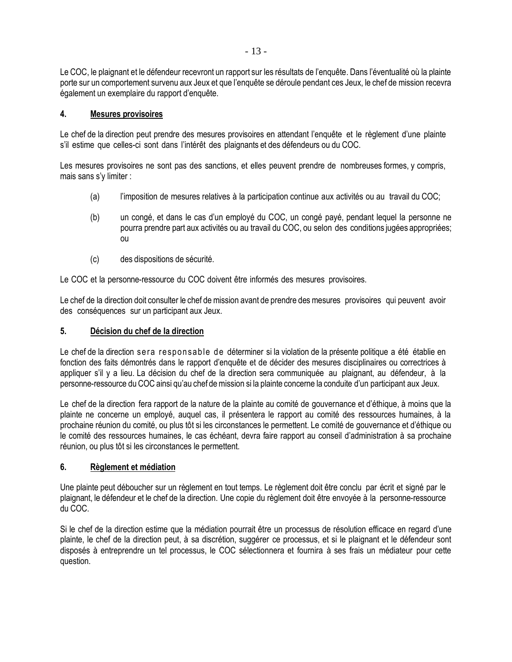Le COC, le plaignant et le défendeur recevront un rapport sur les résultats de l'enquête. Dans l'éventualité où la plainte porte sur un comportement survenu aux Jeux et que l'enquête se déroule pendant ces Jeux, le chef de mission recevra également un exemplaire du rapport d'enquête.

### **4. Mesures provisoires**

Le chef de la direction peut prendre des mesures provisoires en attendant l'enquête et le règlement d'une plainte s'il estime que celles-ci sont dans l'intérêt des plaignants et des défendeurs ou du COC.

Les mesures provisoires ne sont pas des sanctions, et elles peuvent prendre de nombreuses formes, y compris, mais sans s'y limiter :

- (a) l'imposition de mesures relatives à la participation continue aux activités ou au travail du COC;
- (b) un congé, et dans le cas d'un employé du COC, un congé payé, pendant lequel la personne ne pourra prendre part aux activités ou au travail du COC, ou selon des conditions jugées appropriées; ou
- (c) des dispositions de sécurité.

Le COC et la personne-ressource du COC doivent être informés des mesures provisoires.

Le chef de la direction doit consulter le chef de mission avant de prendre des mesures provisoires qui peuvent avoir des conséquences sur un participant aux Jeux.

### **5. Décision du chef de la direction**

Le chef de la direction ser a responsable de déterminer si la violation de la présente politique a été établie en fonction des faits démontrés dans le rapport d'enquête et de décider des mesures disciplinaires ou correctrices à appliquer s'il y a lieu. La décision du chef de la direction sera communiquée au plaignant, au défendeur, à la personne-ressource du COC ainsi qu'au chef demission si la plainte concerne la conduite d'un participant aux Jeux.

Le chef de la direction fera rapport de la nature de la plainte au comité de gouvernance et d'éthique, à moins que la plainte ne concerne un employé, auquel cas, il présentera le rapport au comité des ressources humaines, à la prochaine réunion du comité, ou plus tôt si les circonstances le permettent. Le comité de gouvernance et d'éthique ou le comité des ressources humaines, le cas échéant, devra faire rapport au conseil d'administration à sa prochaine réunion, ou plus tôt si les circonstances le permettent.

### **6. Règlement et médiation**

Une plainte peut déboucher sur un règlement en tout temps. Le règlement doit être conclu par écrit et signé par le plaignant, le défendeur et le chef de la direction. Une copie du règlement doit être envoyée à la personne-ressource du COC.

Si le chef de la direction estime que la médiation pourrait être un processus de résolution efficace en regard d'une plainte, le chef de la direction peut, à sa discrétion, suggérer ce processus, et si le plaignant et le défendeur sont disposés à entreprendre un tel processus, le COC sélectionnera et fournira à ses frais un médiateur pour cette question.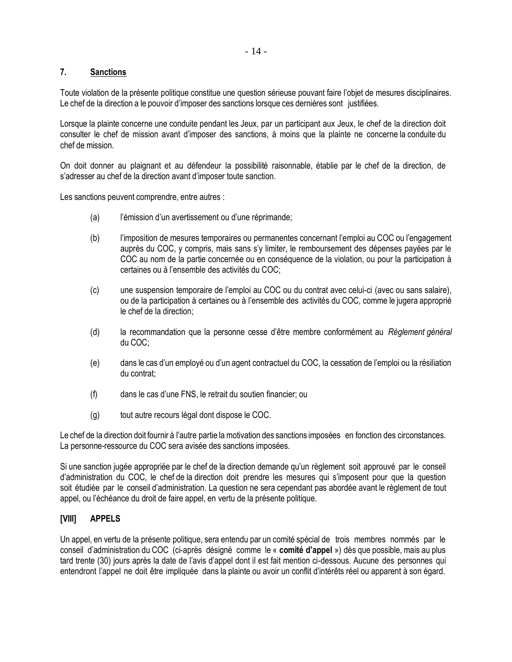### **7. Sanctions**

Toute violation de la présente politique constitue une question sérieuse pouvant faire l'objet de mesures disciplinaires. Le chef de la direction a le pouvoir d'imposer des sanctions lorsque ces dernières sont justifiées.

Lorsque la plainte concerne une conduite pendant les Jeux, par un participant aux Jeux, le chef de la direction doit consulter le chef de mission avant d'imposer des sanctions, à moins que la plainte ne concerne la conduite du chef de mission.

On doit donner au plaignant et au défendeur la possibilité raisonnable, établie par le chef de la direction, de s'adresser au chef de la direction avant d'imposer toute sanction.

Les sanctions peuvent comprendre, entre autres :

- (a) l'émission d'un avertissement ou d'une réprimande;
- (b) l'imposition de mesures temporaires ou permanentes concernant l'emploi au COC ou l'engagement auprès du COC, y compris, mais sans s'y limiter, le remboursement des dépenses payées par le COC au nom de la partie concernée ou en conséquence de la violation, ou pour la participation à certaines ou à l'ensemble des activités du COC;
- (c) une suspension temporaire de l'emploi au COC ou du contrat avec celui-ci (avec ou sans salaire), ou de la participation à certaines ou à l'ensemble des activités du COC, comme le jugera approprié le chef de la direction;
- (d) la recommandation que la personne cesse d'être membre conformément au *Règlement général* du COC;
- (e) dans le cas d'un employé ou d'un agent contractuel du COC, la cessation de l'emploi ou la résiliation du contrat;
- (f) dans le cas d'une FNS, le retrait du soutien financier; ou
- (g) tout autre recours légal dont dispose le COC.

Le chef de la direction doit fournir à l'autre partie la motivation des sanctions imposées en fonction des circonstances. La personne-ressource du COC sera avisée des sanctions imposées.

Si une sanction jugée appropriée par le chef de la direction demande qu'un règlement soit approuvé par le conseil d'administration du COC, le chef de la direction doit prendre les mesures qui s'imposent pour que la question soit étudiée par le conseil d'administration. La question ne sera cependant pas abordée avant le règlement de tout appel, ou l'échéance du droit de faire appel, en vertu de la présente politique.

### **[VIII] APPELS**

Un appel, en vertu de la présente politique, sera entendu par un comité spécial de trois membres nommés par le conseil d'administration du COC (ci-après désigné comme le « **comité d'appel** ») dès que possible, mais au plus tard trente (30) jours après la date de l'avis d'appel dont il est fait mention ci-dessous. Aucune des personnes qui entendront l'appel ne doit être impliquée dans la plainte ou avoir un conflit d'intérêts réel ou apparent à son égard.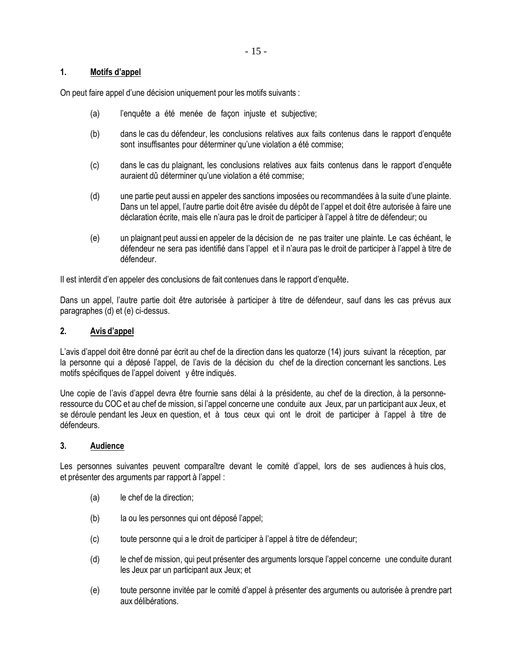### **1. Motifs d'appel**

On peut faire appel d'une décision uniquement pour les motifs suivants :

- (a) l'enquête a été menée de façon injuste et subjective;
- (b) dans le cas du défendeur, les conclusions relatives aux faits contenus dans le rapport d'enquête sont insuffisantes pour déterminer qu'une violation a été commise;
- (c) dans le cas du plaignant, les conclusions relatives aux faits contenus dans le rapport d'enquête auraient dû déterminer qu'une violation a été commise;
- (d) une partie peut aussi en appeler des sanctions imposées ou recommandées à la suite d'une plainte. Dans un tel appel, l'autre partie doit être avisée du dépôt de l'appel et doit être autorisée à faire une déclaration écrite, mais elle n'aura pas le droit de participer à l'appel à titre de défendeur; ou
- (e) un plaignant peut aussi en appeler de la décision de ne pas traiter une plainte. Le cas échéant, le défendeur ne sera pas identifié dans l'appel et il n'aura pas le droit de participer à l'appel à titre de défendeur.

II est interdit d'en appeler des conclusions de fait contenues dans le rapport d'enquête.

Dans un appel, l'autre partie doit être autorisée à participer à titre de défendeur, sauf dans les cas prévus aux paragraphes (d) et (e) ci-dessus.

### **2. Avis d'appel**

L'avis d'appel doit être donné par écrit au chef de la direction dans les quatorze (14) jours suivant la réception, par la personne qui a déposé l'appel, de l'avis de la décision du chef de la direction concernant les sanctions. Les motifs spécifiques de l'appel doivent y être indiqués.

Une copie de l'avis d'appel devra être fournie sans délai à la présidente, au chef de la direction, à la personneressource du COC et au chef de mission, si l'appel concerne une conduite aux Jeux, par un participant aux Jeux, et se déroule pendant les Jeux en question, et à tous ceux qui ont le droit de participer à l'appel à titre de défendeurs.

### **3. Audience**

Les personnes suivantes peuvent comparaître devant le comité d'appel, lors de ses audiences à huis clos, et présenter des arguments par rapport à l'appel :

- (a) le chef de la direction;
- (b) Ia ou les personnes qui ont déposé l'appel;
- (c) toute personne qui a le droit de participer à l'appel à titre de défendeur;
- (d) le chef de mission, qui peut présenter des arguments lorsque l'appel concerne une conduite durant les Jeux par un participant aux Jeux; et
- (e) toute personne invitée par le comité d'appel à présenter des arguments ou autorisée à prendre part aux délibérations.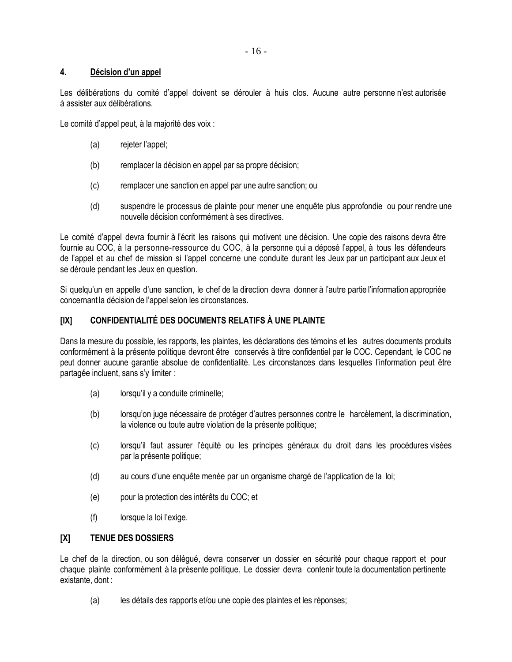### **4. Décision d'un appel**

Les délibérations du comité d'appel doivent se dérouler à huis clos. Aucune autre personne n'est autorisée à assister aux délibérations.

Le comité d'appel peut, à la majorité des voix :

- (a) rejeter l'appel;
- (b) remplacer la décision en appel par sa propre décision;
- (c) remplacer une sanction en appel par une autre sanction; ou
- (d) suspendre le processus de plainte pour mener une enquête plus approfondie ou pour rendre une nouvelle décision conformément à ses directives.

Le comité d'appel devra fournir à l'écrit les raisons qui motivent une décision. Une copie des raisons devra être fournie au COC, à la personne-ressource du COC, à la personne qui a déposé l'appel, à tous les défendeurs de l'appel et au chef de mission si l'appel concerne une conduite durant les Jeux par un participant aux Jeux et se déroule pendant les Jeux en question.

Si quelqu'un en appelle d'une sanction, le chef de la direction devra donner à l'autre partie l'information appropriée concernant la décision de l'appel selon les circonstances.

### **[IX] CONFIDENTIALITÉ DES DOCUMENTS RELATIFS À UNE PLAINTE**

Dans la mesure du possible, les rapports, les plaintes, les déclarations des témoins et les autres documents produits conformément à la présente politique devront être conservés à titre confidentiel par le COC. Cependant, le COC ne peut donner aucune garantie absolue de confidentialité. Les circonstances dans lesquelles l'information peut être partagée incluent, sans s'y limiter :

- (a) lorsqu'il y a conduite criminelle;
- (b) lorsqu'on juge nécessaire de protéger d'autres personnes contre le harcèlement, la discrimination, la violence ou toute autre violation de la présente politique;
- (c) lorsqu'il faut assurer l'équité ou les principes généraux du droit dans les procédures visées par la présente politique;
- (d) au cours d'une enquête menée par un organisme chargé de l'application de la loi;
- (e) pour la protection des intérêts du COC; et
- (f) lorsque la loi l'exige.

### **[X] TENUE DES DOSSIERS**

Le chef de la direction, ou son délégué, devra conserver un dossier en sécurité pour chaque rapport et pour chaque plainte conformément à la présente politique. Le dossier devra contenir toute la documentation pertinente existante, dont :

(a) les détails des rapports et/ou une copie des plaintes et les réponses;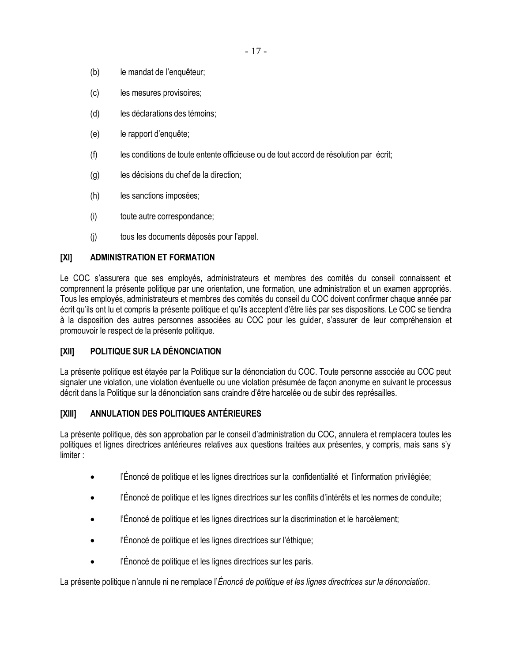- (b) le mandat de l'enquêteur;
- (c) les mesures provisoires;
- (d) les déclarations des témoins;
- (e) le rapport d'enquête;
- (f) les conditions de toute entente officieuse ou de tout accord de résolution par écrit;
- (g) les décisions du chef de la direction;
- (h) les sanctions imposées;
- (i) toute autre correspondance;
- (j) tous les documents déposés pour l'appel.

### **[XI] ADMINISTRATION ET FORMATION**

Le COC s'assurera que ses employés, administrateurs et membres des comités du conseil connaissent et comprennent la présente politique par une orientation, une formation, une administration et un examen appropriés. Tous les employés, administrateurs et membres des comités du conseil du COC doivent confirmer chaque année par écrit qu'ils ont lu et compris la présente politique et qu'ils acceptent d'être liés par ses dispositions. Le COC se tiendra à la disposition des autres personnes associées au COC pour les guider, s'assurer de leur compréhension et promouvoir le respect de la présente politique.

### **[XII] POLITIQUE SUR LA DÉNONCIATION**

La présente politique est étayée par la Politique sur la dénonciation du COC. Toute personne associée au COC peut signaler une violation, une violation éventuelle ou une violation présumée de façon anonyme en suivant le processus décrit dans la Politique sur la dénonciation sans craindre d'être harcelée ou de subir des représailles.

### **[XIII] ANNULATION DES POLITIQUES ANTÉRIEURES**

La présente politique, dès son approbation par le conseil d'administration du COC, annulera et remplacera toutes les politiques et lignes directrices antérieures relatives aux questions traitées aux présentes, y compris, mais sans s'y limiter :

- l'Énoncé de politique et les lignes directrices sur la confidentialité et l'information privilégiée;
- l'Énoncé de politique et les lignes directrices sur les conflits d'intérêts et les normes de conduite;
- l'Énoncé de politique et les lignes directrices sur la discrimination et le harcèlement;
- l'Énoncé de politique et les lignes directrices sur l'éthique;
- l'Énoncé de politique et les lignes directrices sur les paris.

La présente politique n'annule ni ne remplace l'*Énoncé de politique et les lignes directrices sur la dénonciation*.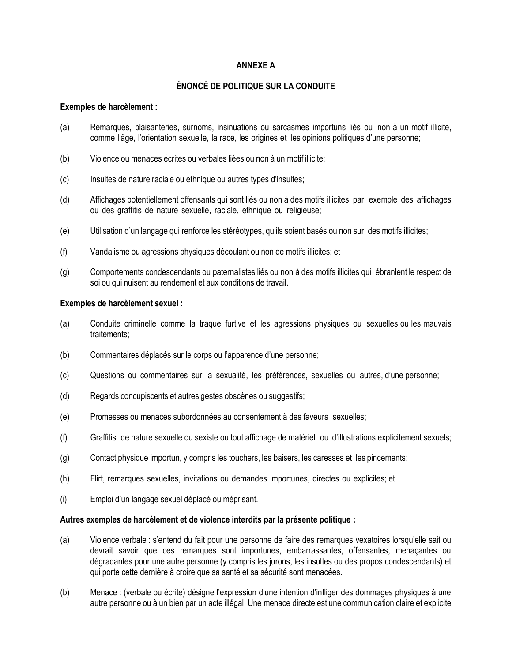### **ANNEXE A**

### **ÉNONCÉ DE POLITIQUE SUR LA CONDUITE**

### **Exemples de harcèlement :**

- (a) Remarques, plaisanteries, surnoms, insinuations ou sarcasmes importuns liés ou non à un motif illicite, comme l'âge, l'orientation sexuelle, la race, les origines et les opinions politiques d'une personne;
- (b) Violence ou menaces écrites ou verbales liées ou non à un motif illicite;
- (c) Insultes de nature raciale ou ethnique ou autres types d'insultes;
- (d) Affichages potentiellement offensants qui sont liés ou non à des motifs illicites, par exemple des affichages ou des graffitis de nature sexuelle, raciale, ethnique ou religieuse;
- (e) Utilisation d'un langage qui renforce les stéréotypes, qu'ils soient basés ou non sur des motifs illicites;
- (f) Vandalisme ou agressions physiques découlant ou non de motifs illicites; et
- (g) Comportements condescendants ou paternalistes liés ou non à des motifs illicites qui ébranlent le respect de soi ou qui nuisent au rendement et aux conditions de travail.

### **Exemples de harcèlement sexuel :**

- (a) Conduite criminelle comme la traque furtive et les agressions physiques ou sexuelles ou les mauvais traitements;
- (b) Commentaires déplacés sur le corps ou l'apparence d'une personne;
- (c) Questions ou commentaires sur la sexualité, les préférences, sexuelles ou autres, d'une personne;
- (d) Regards concupiscents et autres gestes obscènes ou suggestifs;
- (e) Promesses ou menaces subordonnées au consentement à des faveurs sexuelles;
- (f) Graffitis de nature sexuelle ou sexiste ou tout affichage de matériel ou d'illustrations explicitement sexuels;
- (g) Contact physique importun, y compris les touchers, les baisers, les caresses et les pincements;
- (h) Flirt, remarques sexuelles, invitations ou demandes importunes, directes ou explicites; et
- (i) Emploi d'un langage sexuel déplacé ou méprisant.

### **Autres exemples de harcèlement et de violence interdits par la présente politique :**

- (a) Violence verbale : s'entend du fait pour une personne de faire des remarques vexatoires lorsqu'elle sait ou devrait savoir que ces remarques sont importunes, embarrassantes, offensantes, menaçantes ou dégradantes pour une autre personne (y compris les jurons, les insultes ou des propos condescendants) et qui porte cette dernière à croire que sa santé et sa sécurité sont menacées.
- (b) Menace : (verbale ou écrite) désigne l'expression d'une intention d'infliger des dommages physiques à une autre personne ou à un bien par un acte illégal. Une menace directe est une communication claire et explicite